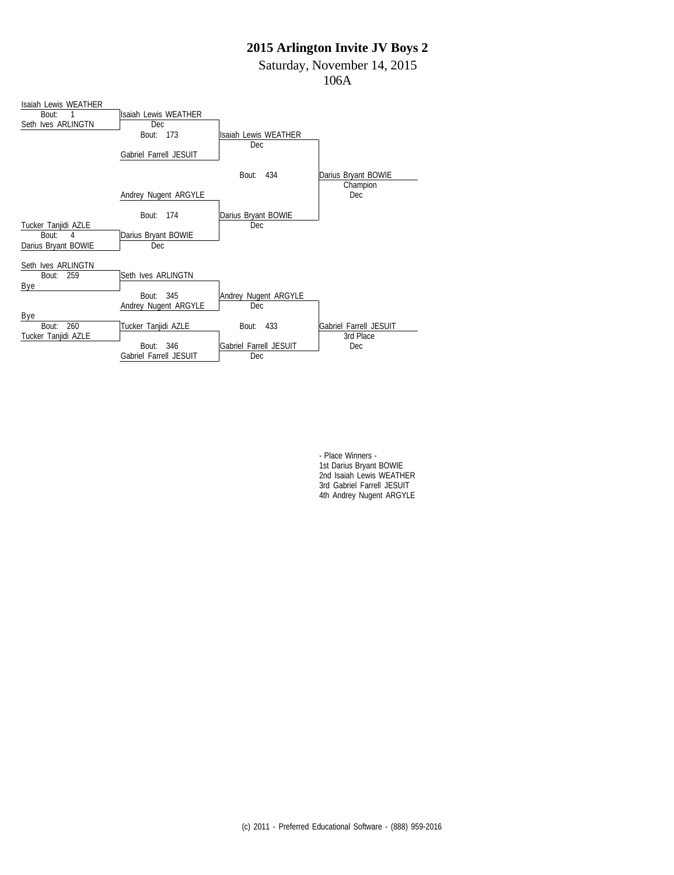Saturday, November 14, 2015

106A



- Place Winners - 1st Darius Bryant BOWIE 2nd Isaiah Lewis WEATHER 3rd Gabriel Farrell JESUIT 4th Andrey Nugent ARGYLE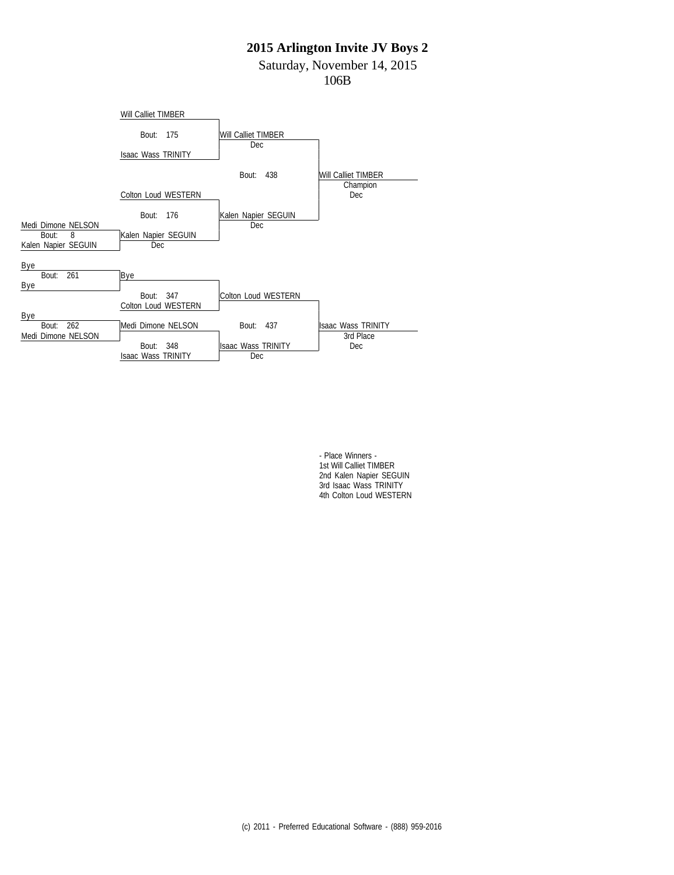Saturday, November 14, 2015

106B



- Place Winners - 1st Will Calliet TIMBER 2nd Kalen Napier SEGUIN 3rd Isaac Wass TRINITY 4th Colton Loud WESTERN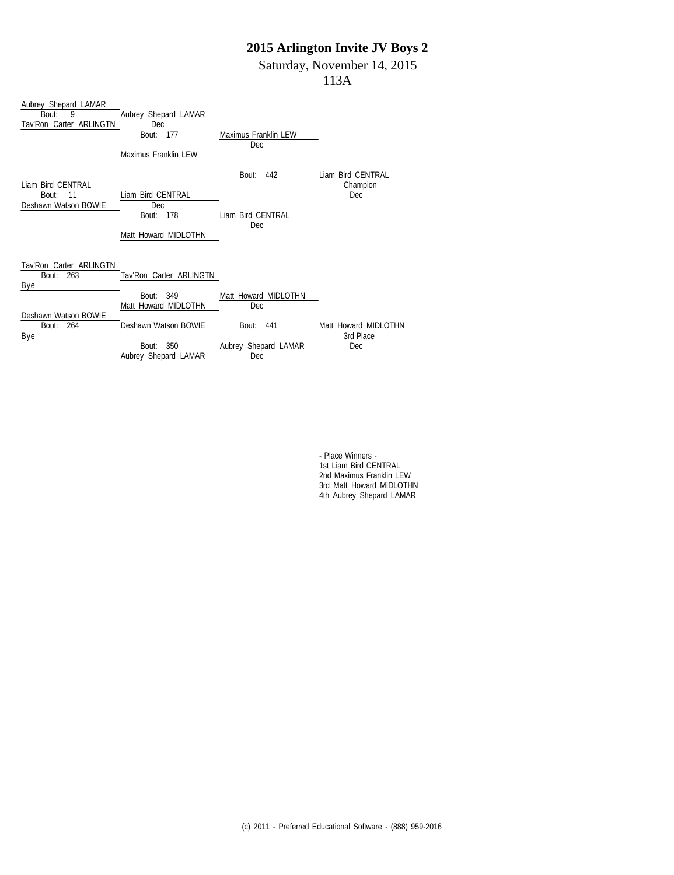Saturday, November 14, 2015

113A



- Place Winners - 1st Liam Bird CENTRAL 2nd Maximus Franklin LEW 3rd Matt Howard MIDLOTHN 4th Aubrey Shepard LAMAR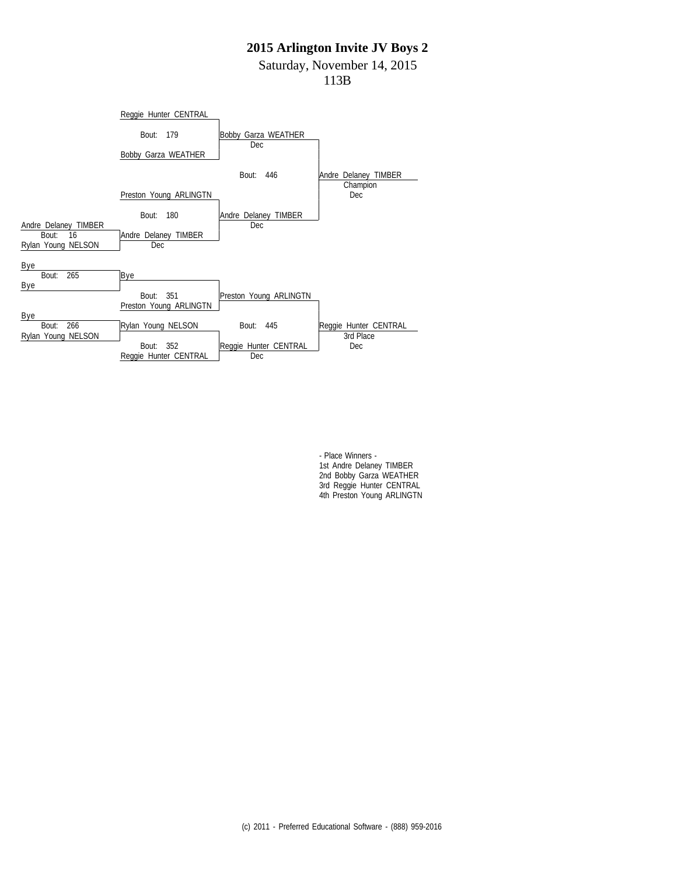Saturday, November 14, 2015

113B



- Place Winners - 1st Andre Delaney TIMBER 2nd Bobby Garza WEATHER 3rd Reggie Hunter CENTRAL 4th Preston Young ARLINGTN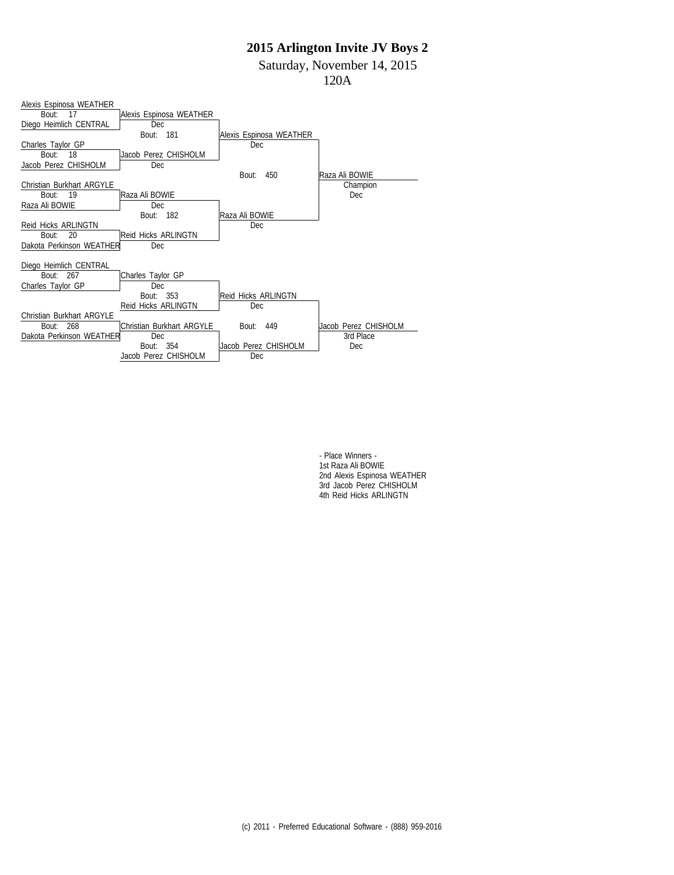Saturday, November 14, 2015

120A

| Alexis Espinosa WEATHER    |                            |                         |                      |
|----------------------------|----------------------------|-------------------------|----------------------|
| 17<br>Bout:                | Alexis Espinosa WEATHER    |                         |                      |
| Diego Heimlich CENTRAL     | <b>Dec</b>                 |                         |                      |
|                            | Bout: 181                  | Alexis Espinosa WEATHER |                      |
| Charles Taylor GP          |                            | Dec.                    |                      |
| 18<br>Bout:                | Jacob Perez CHISHOLM       |                         |                      |
| Jacob Perez CHISHOLM       | <b>Dec</b>                 |                         |                      |
|                            |                            | Bout:<br>450            | Raza Ali BOWIE       |
| Christian Burkhart ARGYLE  |                            |                         | Champion             |
| 19<br>Bout:                | Raza Ali BOWIE             |                         | Dec.                 |
| Raza Ali BOWIE             | <b>Dec</b>                 |                         |                      |
|                            | Bout: 182                  | Raza Ali BOWIE          |                      |
| <b>Reid Hicks ARLINGTN</b> |                            | Dec.                    |                      |
| 20<br>Bout:                | <b>Reid Hicks ARLINGTN</b> |                         |                      |
| Dakota Perkinson WEATHER   | Dec                        |                         |                      |
|                            |                            |                         |                      |
| Diego Heimlich CENTRAL     |                            |                         |                      |
| 267<br>Bout:               | Charles Taylor GP          |                         |                      |
| Charles Taylor GP          | <b>Dec</b>                 |                         |                      |
|                            | 353<br>Bout:               | Reid Hicks ARLINGTN     |                      |
|                            | Reid Hicks ARLINGTN        | Dec                     |                      |
| Christian Burkhart ARGYLE  |                            |                         |                      |
| 268<br>Bout:               | Christian Burkhart ARGYLE  | Bout: 449               | Jacob Perez CHISHOLM |
| Dakota Perkinson WEATHER   | Dec                        |                         | 3rd Place            |
|                            | 354<br>Bout:               | Jacob Perez CHISHOLM    | Dec                  |
|                            | Jacob Perez CHISHOLM       | Dec                     |                      |

- Place Winners - 1st Raza Ali BOWIE 2nd Alexis Espinosa WEATHER 3rd Jacob Perez CHISHOLM 4th Reid Hicks ARLINGTN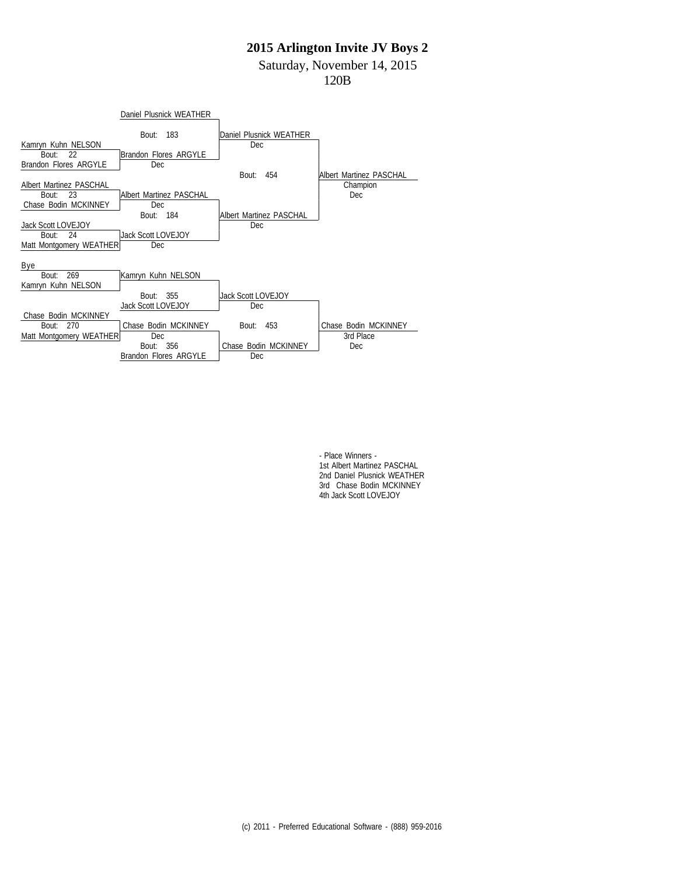Saturday, November 14, 2015

120B



- Place Winners - 1st Albert Martinez PASCHAL 2nd Daniel Plusnick WEATHER 3rd Chase Bodin MCKINNEY 4th Jack Scott LOVEJOY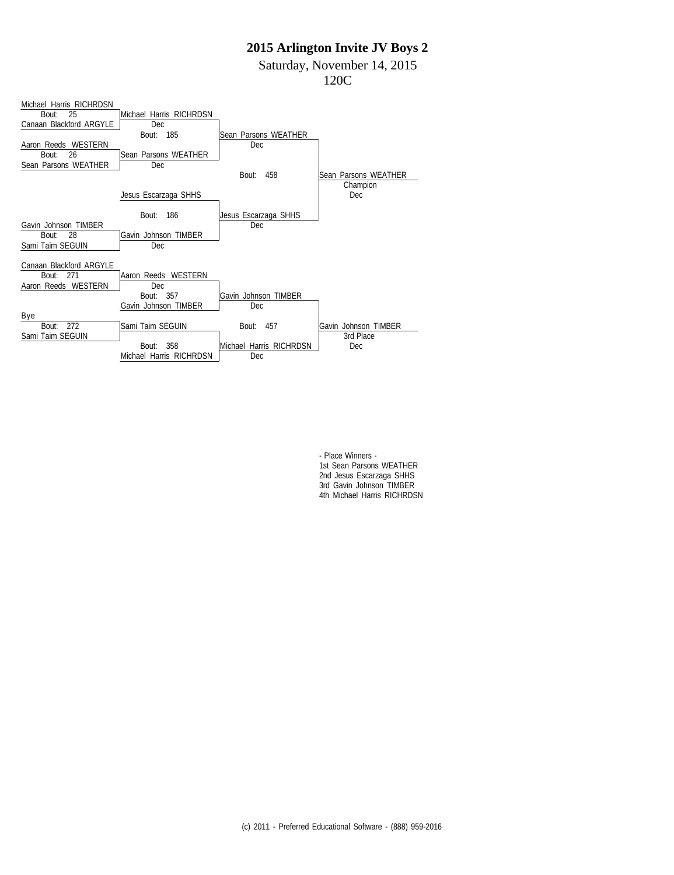Saturday, November 14, 2015

120C

| Michael Harris RICHRDSN<br>Bout:<br>25<br>Canaan Blackford ARGYLE<br>Aaron Reeds WESTERN<br>26<br>Bout:<br>Sean Parsons WEATHER | Michael Harris RICHRDSN<br><b>Dec</b><br>Bout: 185<br>Sean Parsons WEATHER<br>Dec | Sean Parsons WEATHER<br>Dec<br>458<br>Bout: | Sean Parsons WEATHER |
|---------------------------------------------------------------------------------------------------------------------------------|-----------------------------------------------------------------------------------|---------------------------------------------|----------------------|
|                                                                                                                                 | Jesus Escarzaga SHHS                                                              |                                             | Champion<br>Dec.     |
| Gavin Johnson TIMBER<br>28<br>Bout:<br>Sami Taim SEGUIN                                                                         | Bout: 186<br>Gavin Johnson TIMBER<br>Dec                                          | Jesus Escarzaga SHHS<br><b>Dec</b>          |                      |
| Canaan Blackford ARGYLE                                                                                                         |                                                                                   |                                             |                      |
| Bout: 271<br>Aaron Reeds WESTERN                                                                                                | Aaron Reeds WESTERN<br>Dec                                                        |                                             |                      |
|                                                                                                                                 | Bout: 357                                                                         | Gavin Johnson TIMBER                        |                      |
|                                                                                                                                 | Gavin Johnson TIMBER                                                              | Dec                                         |                      |
| Bye<br>272<br>Bout:                                                                                                             | Sami Taim SEGUIN                                                                  | Bout: 457                                   | Gavin Johnson TIMBER |
| Sami Taim SEGUIN                                                                                                                |                                                                                   |                                             | 3rd Place            |
|                                                                                                                                 | 358<br>Bout:<br>Michael Harris RICHRDSN                                           | Michael Harris RICHRDSN<br>Dec              | Dec                  |

- Place Winners - 1st Sean Parsons WEATHER 2nd Jesus Escarzaga SHHS 3rd Gavin Johnson TIMBER 4th Michael Harris RICHRDSN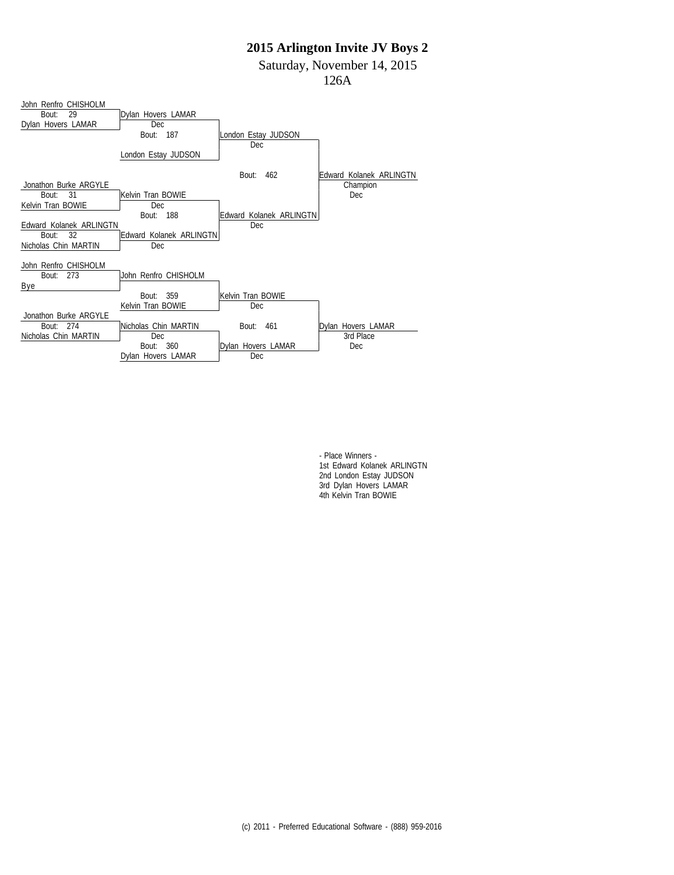Saturday, November 14, 2015

126A



- Place Winners - 1st Edward Kolanek ARLINGTN 2nd London Estay JUDSON 3rd Dylan Hovers LAMAR 4th Kelvin Tran BOWIE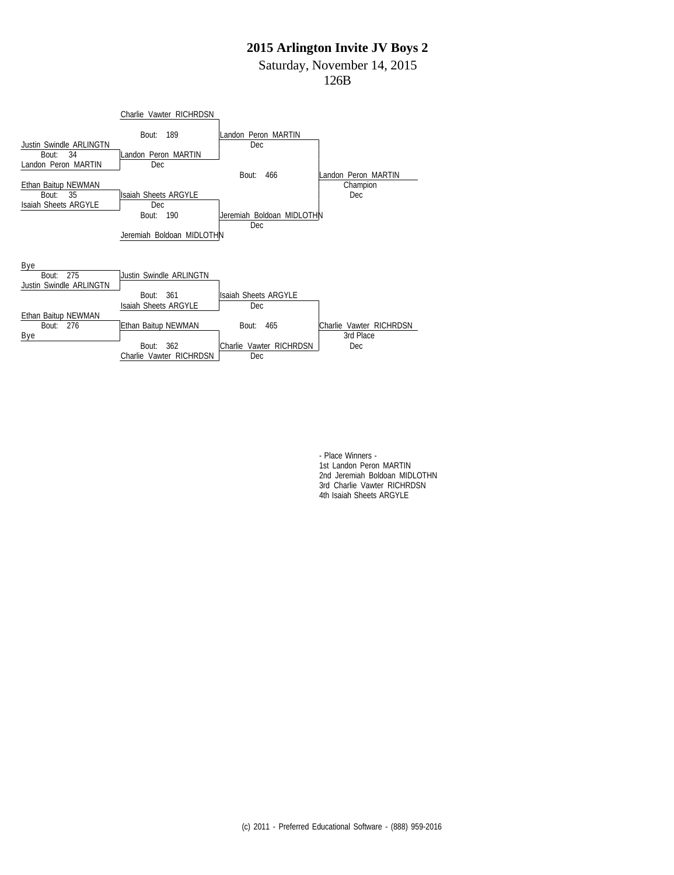Saturday, November 14, 2015

126B



- Place Winners - 1st Landon Peron MARTIN 2nd Jeremiah Boldoan MIDLOTHN 3rd Charlie Vawter RICHRDSN 4th Isaiah Sheets ARGYLE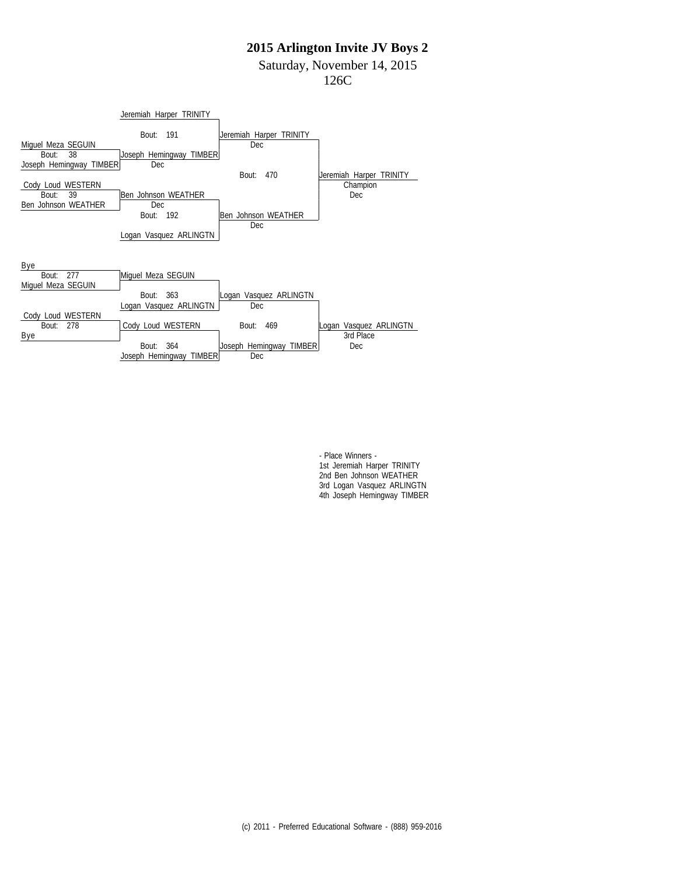Saturday, November 14, 2015

126C



(c) 2011 - Preferred Educational Software - (888) 959-2016

- Place Winners -

1st Jeremiah Harper TRINITY 2nd Ben Johnson WEATHER 3rd Logan Vasquez ARLINGTN 4th Joseph Hemingway TIMBER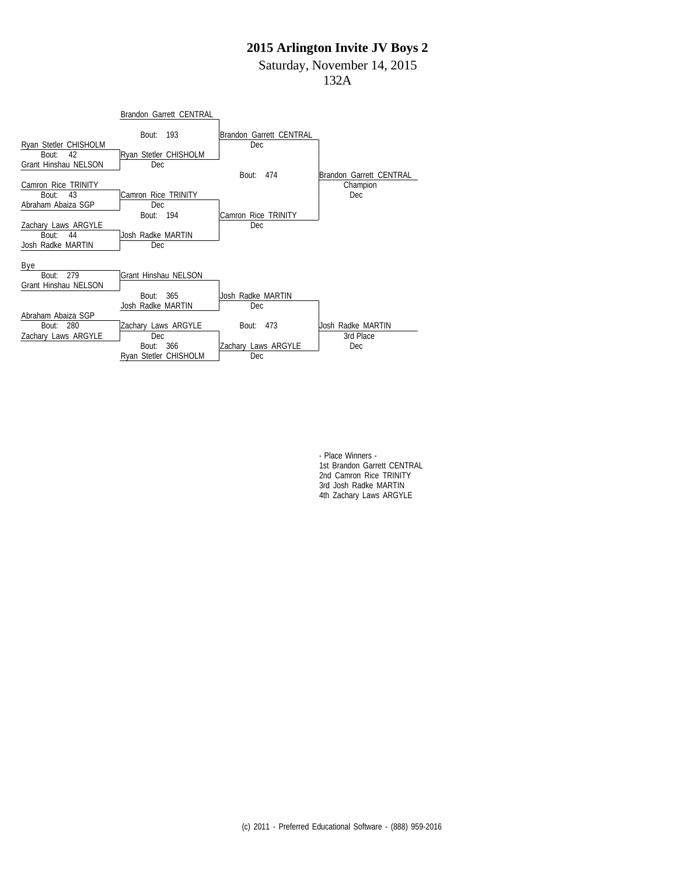Saturday, November 14, 2015

132A



- Place Winners - 1st Brandon Garrett CENTRAL 2nd Camron Rice TRINITY 3rd Josh Radke MARTIN 4th Zachary Laws ARGYLE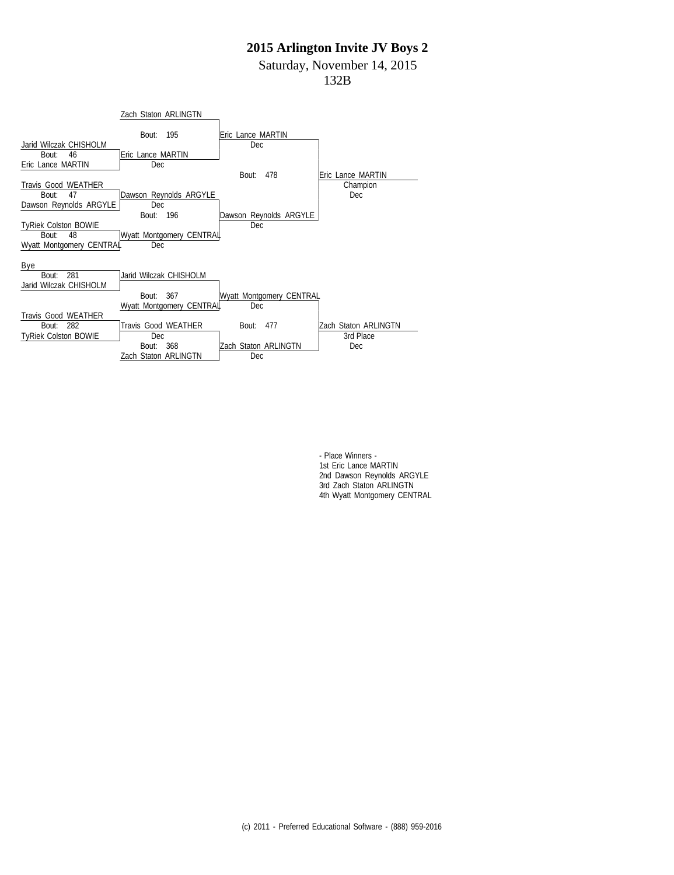Saturday, November 14, 2015

```
132B
```


- Place Winners - 1st Eric Lance MARTIN 2nd Dawson Reynolds ARGYLE 3rd Zach Staton ARLINGTN 4th Wyatt Montgomery CENTRAL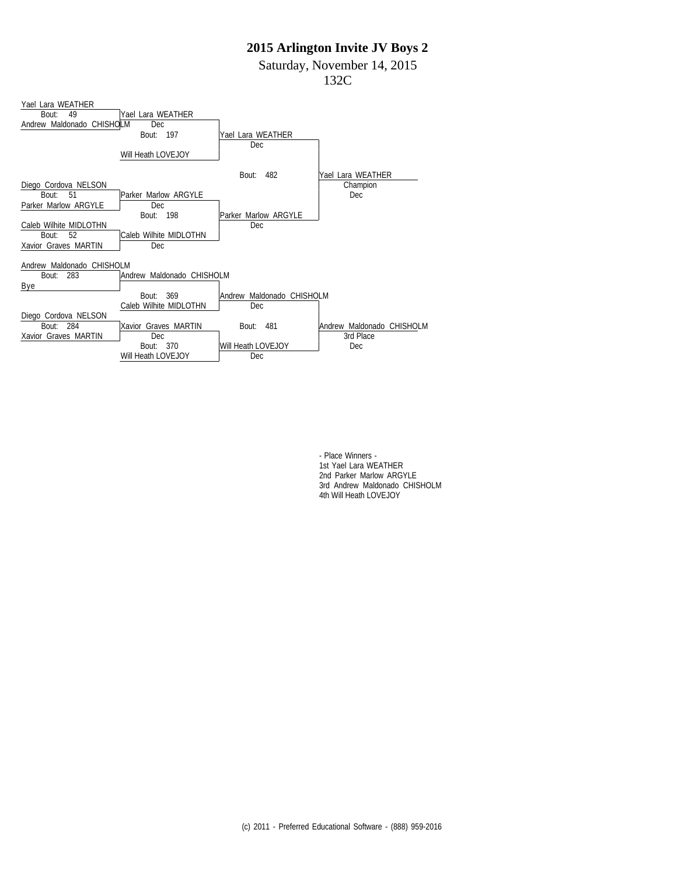Saturday, November 14, 2015

132C



- Place Winners - 1st Yael Lara WEATHER 2nd Parker Marlow ARGYLE 3rd Andrew Maldonado CHISHOLM 4th Will Heath LOVEJOY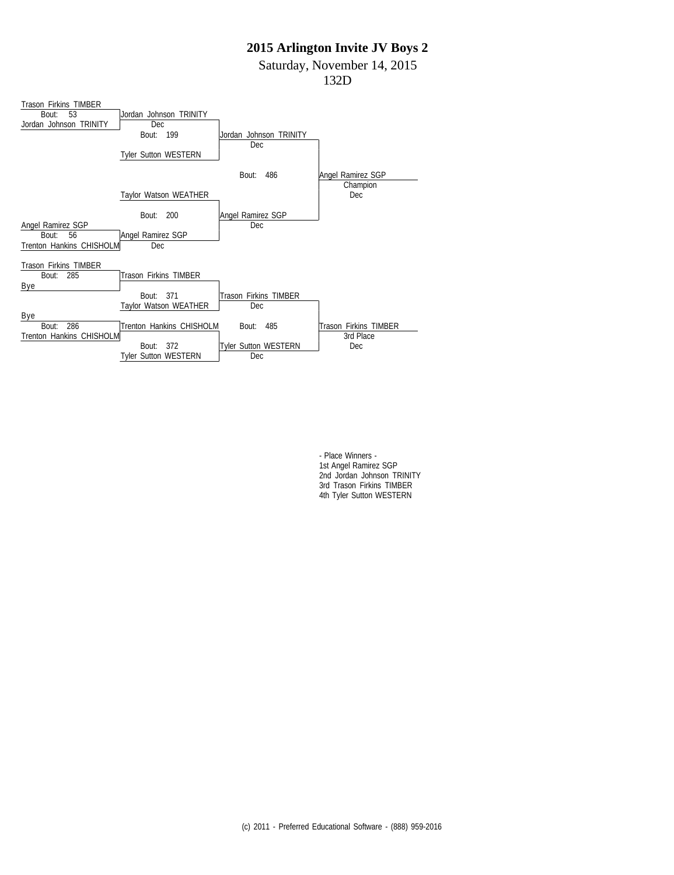Saturday, November 14, 2015

132D



- Place Winners - 1st Angel Ramirez SGP 2nd Jordan Johnson TRINITY 3rd Trason Firkins TIMBER 4th Tyler Sutton WESTERN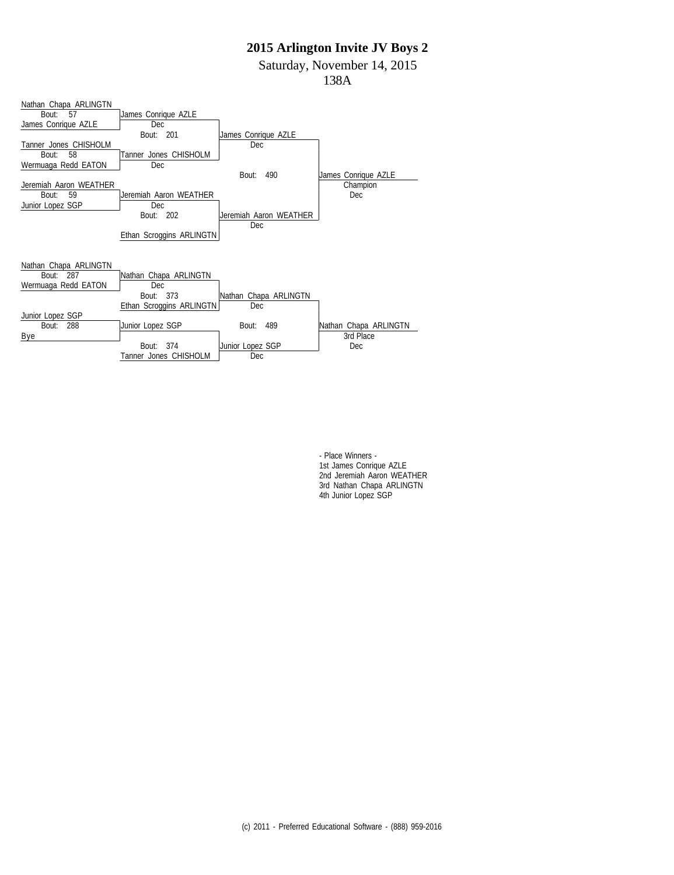Saturday, November 14, 2015

138A



- Place Winners - 1st James Conrique AZLE 2nd Jeremiah Aaron WEATHER 3rd Nathan Chapa ARLINGTN 4th Junior Lopez SGP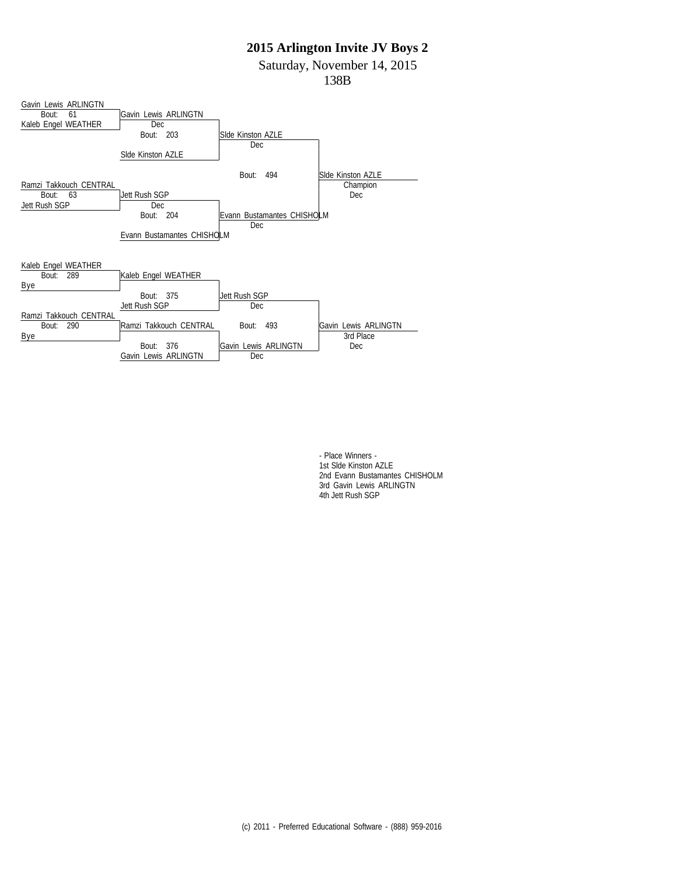Saturday, November 14, 2015

138B



- Place Winners - 1st Slde Kinston AZLE 2nd Evann Bustamantes CHISHOLM 3rd Gavin Lewis ARLINGTN 4th Jett Rush SGP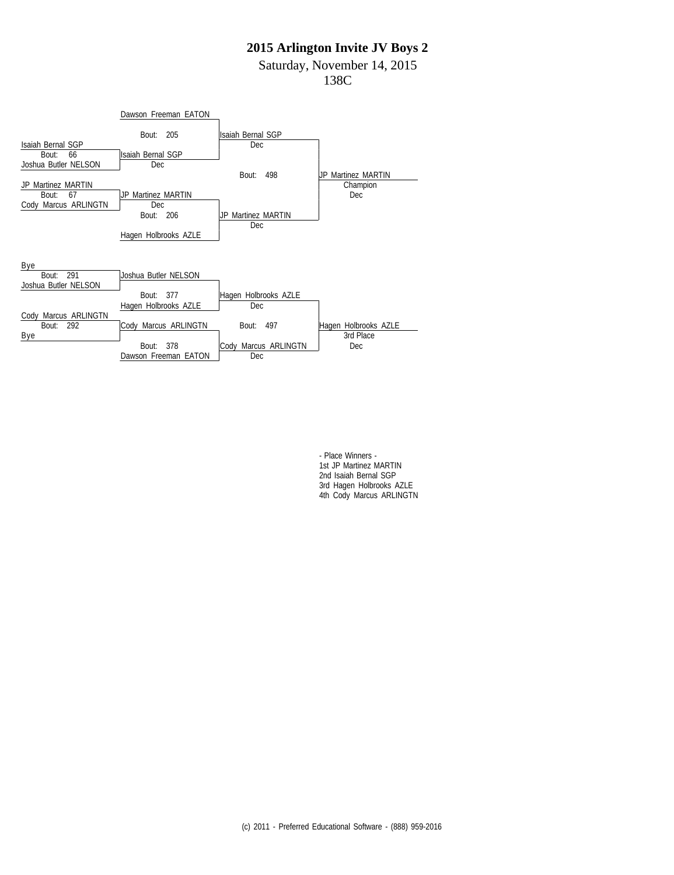Saturday, November 14, 2015

138C



- Place Winners - 1st JP Martinez MARTIN 2nd Isaiah Bernal SGP 3rd Hagen Holbrooks AZLE 4th Cody Marcus ARLINGTN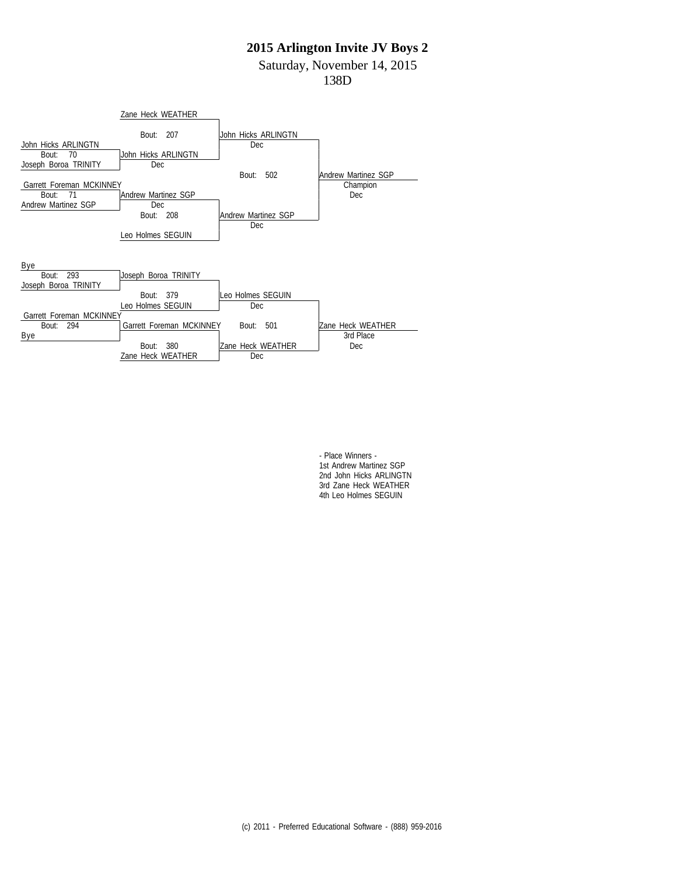Saturday, November 14, 2015

138D



- Place Winners - 1st Andrew Martinez SGP 2nd John Hicks ARLINGTN 3rd Zane Heck WEATHER 4th Leo Holmes SEGUIN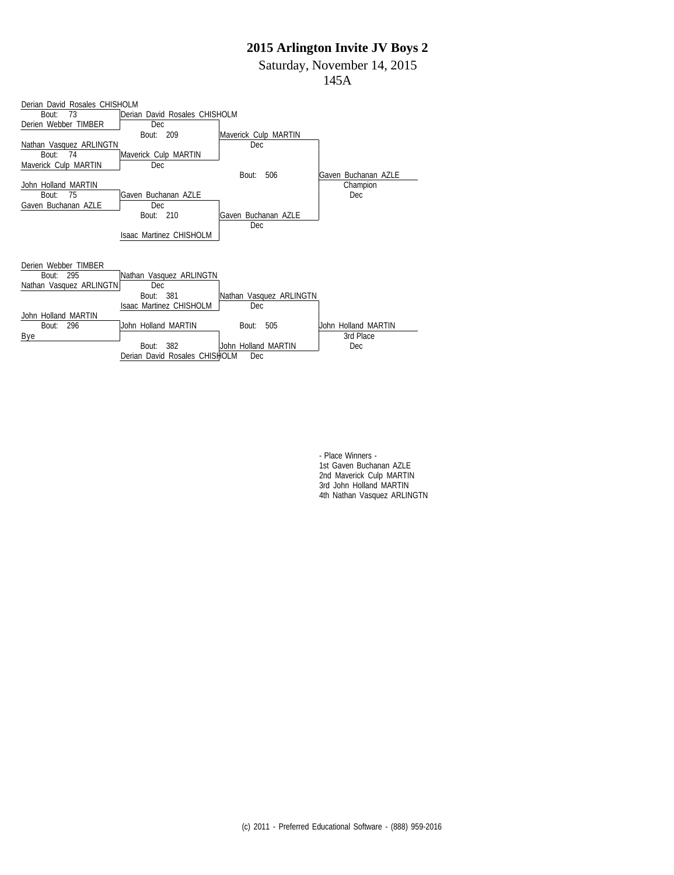Saturday, November 14, 2015

145A



- Place Winners - 1st Gaven Buchanan AZLE 2nd Maverick Culp MARTIN 3rd John Holland MARTIN 4th Nathan Vasquez ARLINGTN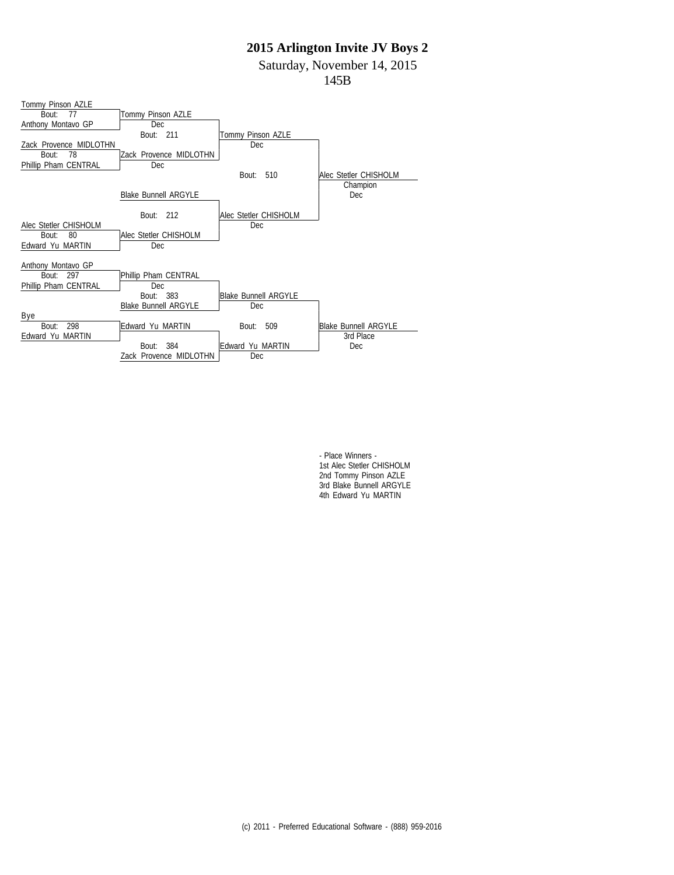Saturday, November 14, 2015

145B

| Tommy Pinson AZLE      |                             |                       |                       |
|------------------------|-----------------------------|-----------------------|-----------------------|
| Bout:<br>77            | Tommy Pinson AZLE           |                       |                       |
| Anthony Montavo GP     | <b>Dec</b>                  |                       |                       |
|                        | Bout: 211                   | Tommy Pinson AZLE     |                       |
| Zack Provence MIDLOTHN |                             | Dec.                  |                       |
| 78<br>Bout:            | Zack Provence MIDLOTHN      |                       |                       |
| Phillip Pham CENTRAL   | Dec                         |                       |                       |
|                        |                             | 510<br>Bout:          | Alec Stetler CHISHOLM |
|                        |                             |                       | Champion              |
|                        | <b>Blake Bunnell ARGYLE</b> |                       | Dec.                  |
|                        |                             |                       |                       |
| Alec Stetler CHISHOLM  | Bout: 212                   | Alec Stetler CHISHOLM |                       |
| 80<br>Bout:            | Alec Stetler CHISHOLM       | Dec                   |                       |
| Edward Yu MARTIN       | <b>Dec</b>                  |                       |                       |
|                        |                             |                       |                       |
| Anthony Montavo GP     |                             |                       |                       |
| 297<br>Bout:           | Phillip Pham CENTRAL        |                       |                       |
| Phillip Pham CENTRAL   | Dec                         |                       |                       |
|                        | Bout: 383                   | Blake Bunnell ARGYLE  |                       |
|                        | <b>Blake Bunnell ARGYLE</b> | Dec                   |                       |
| Bye                    |                             |                       |                       |
| 298<br>Bout:           | Edward Yu MARTIN            | 509<br>Bout:          | Blake Bunnell ARGYLE  |
| Edward Yu MARTIN       |                             |                       | 3rd Place             |
|                        | 384<br>Bout:                | Edward Yu MARTIN      | <b>Dec</b>            |
|                        | Zack Provence MIDLOTHN      | Dec                   |                       |

- Place Winners - 1st Alec Stetler CHISHOLM 2nd Tommy Pinson AZLE 3rd Blake Bunnell ARGYLE 4th Edward Yu MARTIN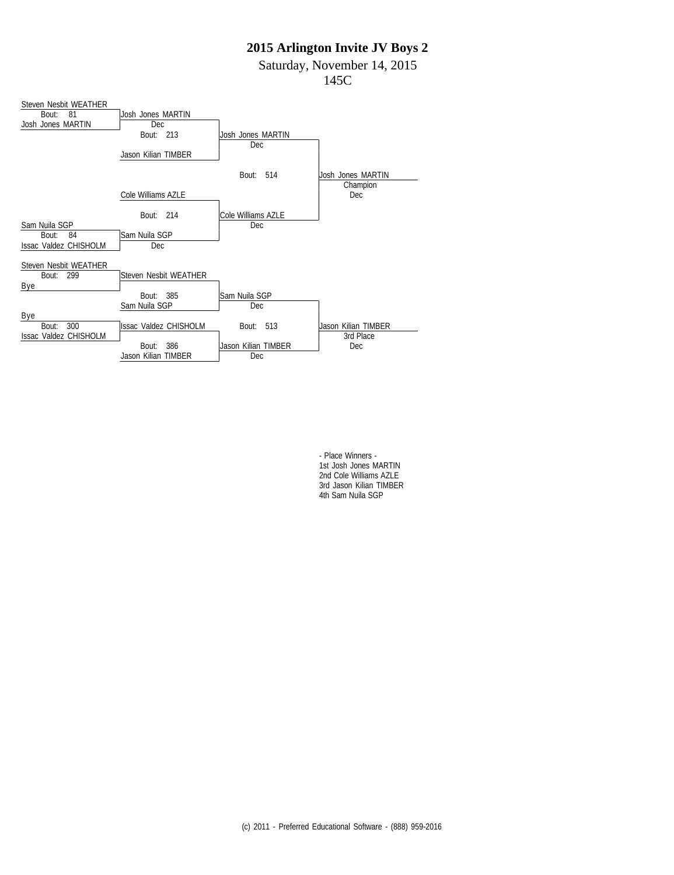Saturday, November 14, 2015

145C



- Place Winners - 1st Josh Jones MARTIN 2nd Cole Williams AZLE 3rd Jason Kilian TIMBER 4th Sam Nuila SGP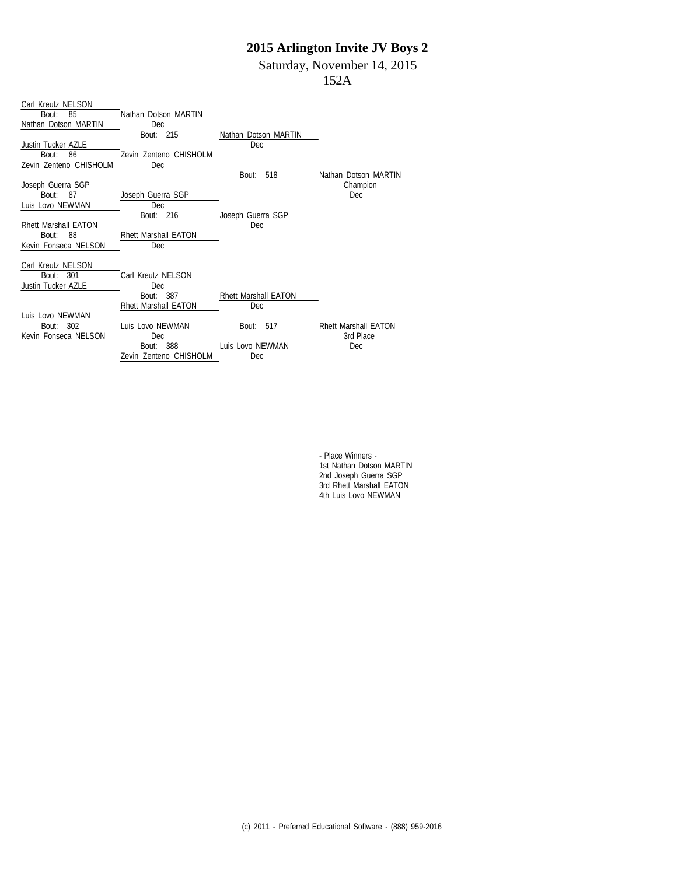Saturday, November 14, 2015

152A

| Carl Kreutz NELSON          |                             |                      |                      |
|-----------------------------|-----------------------------|----------------------|----------------------|
| 85<br>Bout:                 | Nathan Dotson MARTIN        |                      |                      |
| Nathan Dotson MARTIN        | Dec                         |                      |                      |
|                             | Bout: 215                   | Nathan Dotson MARTIN |                      |
| Justin Tucker AZLE          |                             | Dec                  |                      |
| 86<br>Bout:                 | Zevin Zenteno CHISHOLM      |                      |                      |
| Zevin Zenteno CHISHOLM      | Dec                         |                      |                      |
|                             |                             | 518<br>Bout:         | Nathan Dotson MARTIN |
| Joseph Guerra SGP           |                             |                      | Champion             |
| Bout:<br>87                 | Joseph Guerra SGP           |                      | Dec.                 |
| Luis Lovo NEWMAN            | <b>Dec</b>                  |                      |                      |
|                             | Bout: 216                   | Joseph Guerra SGP    |                      |
| <b>Rhett Marshall EATON</b> |                             | Dec                  |                      |
| 88<br>Bout:                 | <b>Rhett Marshall EATON</b> |                      |                      |
| Kevin Fonseca NELSON        | Dec                         |                      |                      |
|                             |                             |                      |                      |
| Carl Kreutz NELSON          |                             |                      |                      |
| 301<br>Bout:                | Carl Kreutz NELSON          |                      |                      |
| Justin Tucker AZLE          | Dec                         |                      |                      |
|                             | Bout: 387                   | Rhett Marshall EATON |                      |
|                             | Rhett Marshall EATON        | Dec                  |                      |
| Luis Lovo NEWMAN            |                             |                      |                      |
| 302<br>Bout:                | Luis Lovo NEWMAN            | Bout: 517            | Rhett Marshall EATON |
| Kevin Fonseca NELSON        | Dec                         |                      | 3rd Place            |
|                             | 388<br>Bout:                | lLuis Lovo NEWMAN    | Dec                  |
|                             | Zevin Zenteno CHISHOLM      | Dec                  |                      |

- Place Winners - 1st Nathan Dotson MARTIN 2nd Joseph Guerra SGP 3rd Rhett Marshall EATON 4th Luis Lovo NEWMAN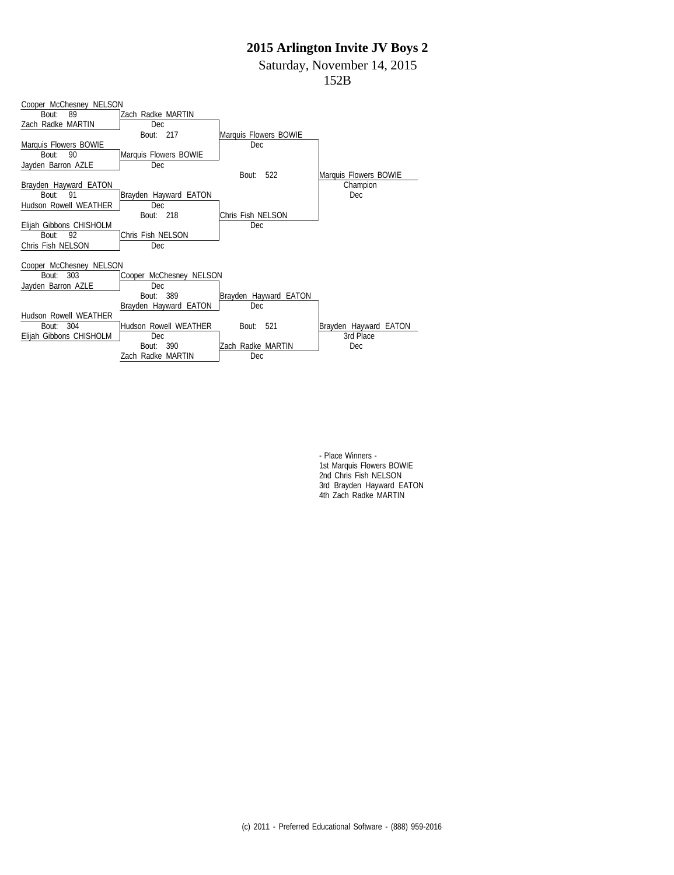Saturday, November 14, 2015

```
152B
```

| Cooper McChesney NELSON      |                         |                       |                       |
|------------------------------|-------------------------|-----------------------|-----------------------|
| 89<br>Bout:                  | Zach Radke MARTIN       |                       |                       |
| Zach Radke MARTIN            | Dec                     |                       |                       |
|                              | Bout: 217               | Marquis Flowers BOWIE |                       |
| Marquis Flowers BOWIE        |                         | Dec                   |                       |
| 90<br>Bout:                  | Marquis Flowers BOWIE   |                       |                       |
| Jayden Barron AZLE           | Dec                     |                       |                       |
|                              |                         | Bout: 522             | Marquis Flowers BOWIE |
| Brayden Hayward EATON        |                         |                       | Champion              |
| Bout:<br>91                  | Brayden Hayward EATON   |                       | Dec.                  |
| <b>Hudson Rowell WEATHER</b> | Dec                     |                       |                       |
|                              | Bout: 218               | Chris Fish NELSON     |                       |
| Elijah Gibbons CHISHOLM      |                         | Dec                   |                       |
| 92<br>Bout:                  | Chris Fish NELSON       |                       |                       |
| Chris Fish NELSON            | Dec                     |                       |                       |
|                              |                         |                       |                       |
| Cooper McChesney NELSON      |                         |                       |                       |
| Bout: 303                    | Cooper McChesney NELSON |                       |                       |
| Jayden Barron AZLE           | Dec                     |                       |                       |
|                              | Bout: 389               | Brayden Hayward EATON |                       |
|                              | Brayden Hayward EATON   | Dec                   |                       |
| Hudson Rowell WEATHER        |                         |                       |                       |
| Bout: 304                    | Hudson Rowell WEATHER   | Bout: 521             | Brayden Hayward EATON |
| Elijah Gibbons CHISHOLM      | Dec                     |                       | 3rd Place             |
|                              | 390<br>Bout:            | Zach Radke MARTIN     | Dec                   |
|                              | Zach Radke MARTIN       | Dec                   |                       |

- Place Winners - 1st Marquis Flowers BOWIE 2nd Chris Fish NELSON 3rd Brayden Hayward EATON 4th Zach Radke MARTIN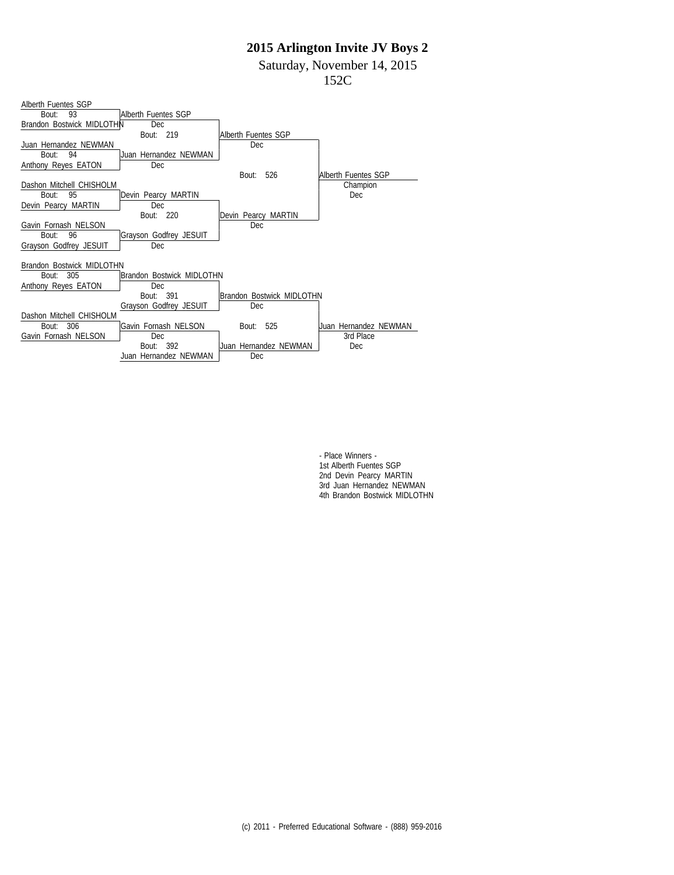Saturday, November 14, 2015

152C

| Alberth Fuentes SGP                       |                           |                       |
|-------------------------------------------|---------------------------|-----------------------|
| 93<br>Alberth Fuentes SGP<br>Bout:        |                           |                       |
| Brandon Bostwick MIDLOTHN<br>Dec          |                           |                       |
| Bout: 219                                 | Alberth Fuentes SGP       |                       |
| Juan Hernandez NEWMAN                     | Dec                       |                       |
| 94<br>Bout:<br>Juan Hernandez NEWMAN.     |                           |                       |
| Anthony Reyes EATON<br>Dec                |                           |                       |
|                                           | 526<br>Bout:              | Alberth Fuentes SGP   |
| Dashon Mitchell CHISHOLM                  |                           | Champion              |
| 95<br>Bout:<br>Devin Pearcy MARTIN        |                           | Dec.                  |
| Devin Pearcy MARTIN<br>Dec                |                           |                       |
| Bout: 220                                 | Devin Pearcy MARTIN       |                       |
| Gavin Fornash NELSON                      | Dec.                      |                       |
| 96<br>Grayson Godfrey JESUIT<br>Bout:     |                           |                       |
| Grayson Godfrey JESUIT<br>Dec             |                           |                       |
|                                           |                           |                       |
| Brandon Bostwick MIDLOTHN                 |                           |                       |
| 305<br>Brandon Bostwick MIDLOTHN<br>Bout: |                           |                       |
| Anthony Reyes EATON<br>Dec                |                           |                       |
| Bout: 391                                 | Brandon Bostwick MIDLOTHN |                       |
| Grayson Godfrey JESUIT                    | Dec                       |                       |
| Dashon Mitchell CHISHOLM                  |                           |                       |
| 306<br>Gavin Fornash NELSON<br>Bout:      | Bout: 525                 | Juan Hernandez NEWMAN |
| Gavin Fornash NELSON<br>Dec               |                           | 3rd Place             |
| 392<br>Bout:                              | Juan Hernandez NEWMAN.    | Dec.                  |
| Juan Hernandez NEWMAN                     | Dec                       |                       |

- Place Winners - 1st Alberth Fuentes SGP 2nd Devin Pearcy MARTIN 3rd Juan Hernandez NEWMAN 4th Brandon Bostwick MIDLOTHN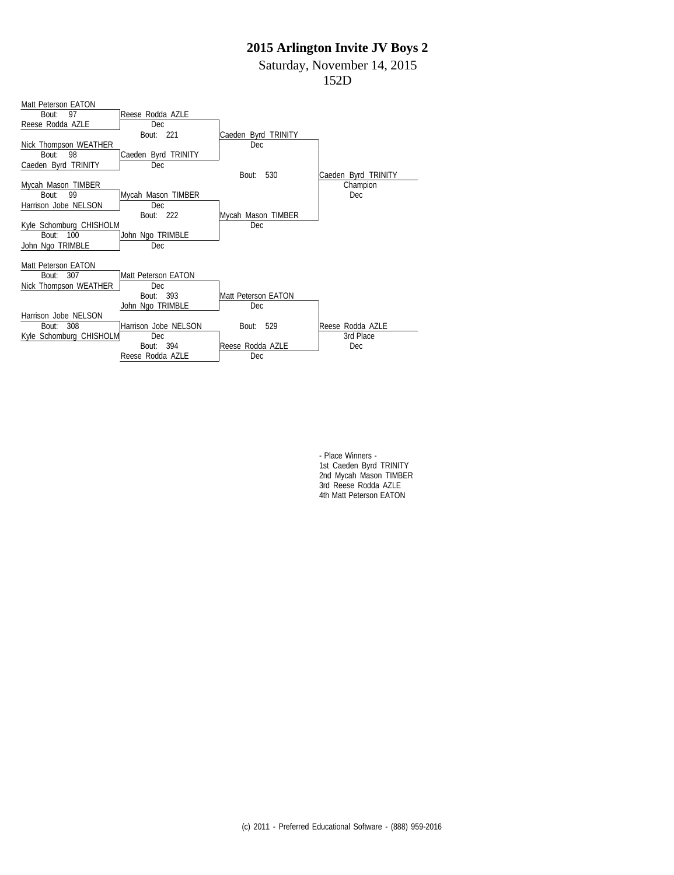Saturday, November 14, 2015

152D

| Matt Peterson EATON     |                      |                     |                     |
|-------------------------|----------------------|---------------------|---------------------|
| 97<br>Bout:             | Reese Rodda AZLE     |                     |                     |
| Reese Rodda AZLE        | Dec.                 |                     |                     |
|                         | Bout: 221            | Caeden Byrd TRINITY |                     |
| Nick Thompson WEATHER   |                      | <b>Dec</b>          |                     |
| Bout:<br>98             | Caeden Byrd TRINITY  |                     |                     |
| Caeden Byrd TRINITY     | <b>Dec</b>           |                     |                     |
|                         |                      | 530<br>Bout:        | Caeden Byrd TRINITY |
| Mycah Mason TIMBER      |                      |                     | Champion            |
| 99<br>Bout:             | Mycah Mason TIMBER   |                     | Dec.                |
| Harrison Jobe NELSON    | Dec                  |                     |                     |
|                         | Bout: 222            | Mycah Mason TIMBER  |                     |
| Kyle Schomburg CHISHOLM |                      | <b>Dec</b>          |                     |
| Bout: 100               | John Ngo TRIMBLE     |                     |                     |
| John Ngo TRIMBLE        | <b>Dec</b>           |                     |                     |
|                         |                      |                     |                     |
| Matt Peterson EATON     |                      |                     |                     |
| 307<br>Bout:            | Matt Peterson EATON  |                     |                     |
| Nick Thompson WEATHER   | Dec                  |                     |                     |
|                         | Bout: 393            | Matt Peterson EATON |                     |
|                         | John Ngo TRIMBLE     | <b>Dec</b>          |                     |
| Harrison Jobe NELSON    |                      |                     |                     |
| 308<br>Bout:            | Harrison Jobe NELSON | Bout: 529           | Reese Rodda AZLE    |
| Kyle Schomburg CHISHOLM | Dec                  |                     | 3rd Place           |
|                         | Bout: 394            | Reese Rodda AZLE    | <b>Dec</b>          |
|                         | Reese Rodda AZLE     | Dec                 |                     |

- Place Winners - 1st Caeden Byrd TRINITY 2nd Mycah Mason TIMBER 3rd Reese Rodda AZLE 4th Matt Peterson EATON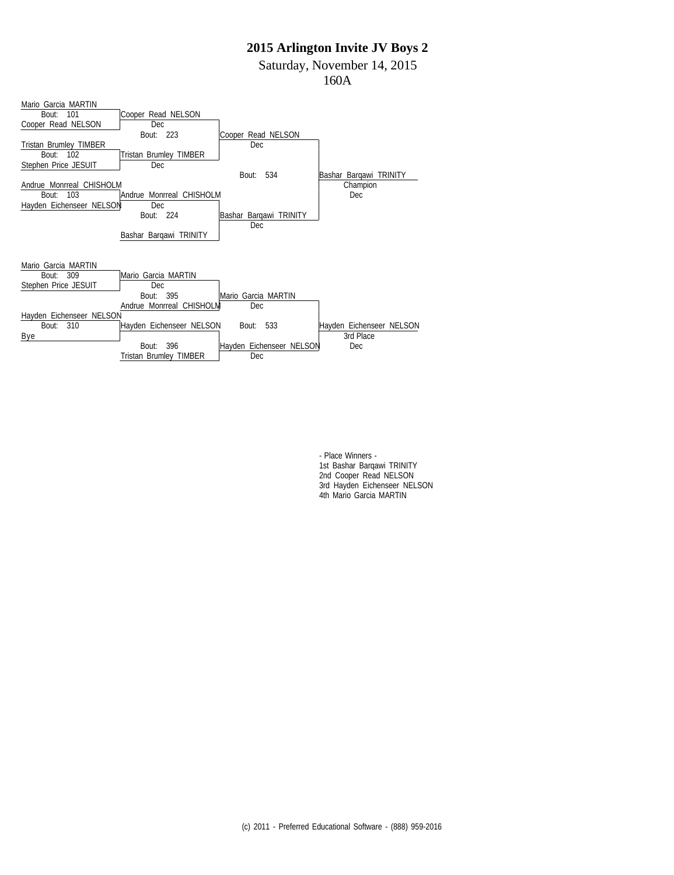Saturday, November 14, 2015

160A



- Place Winners - 1st Bashar Barqawi TRINITY 2nd Cooper Read NELSON 3rd Hayden Eichenseer NELSON 4th Mario Garcia MARTIN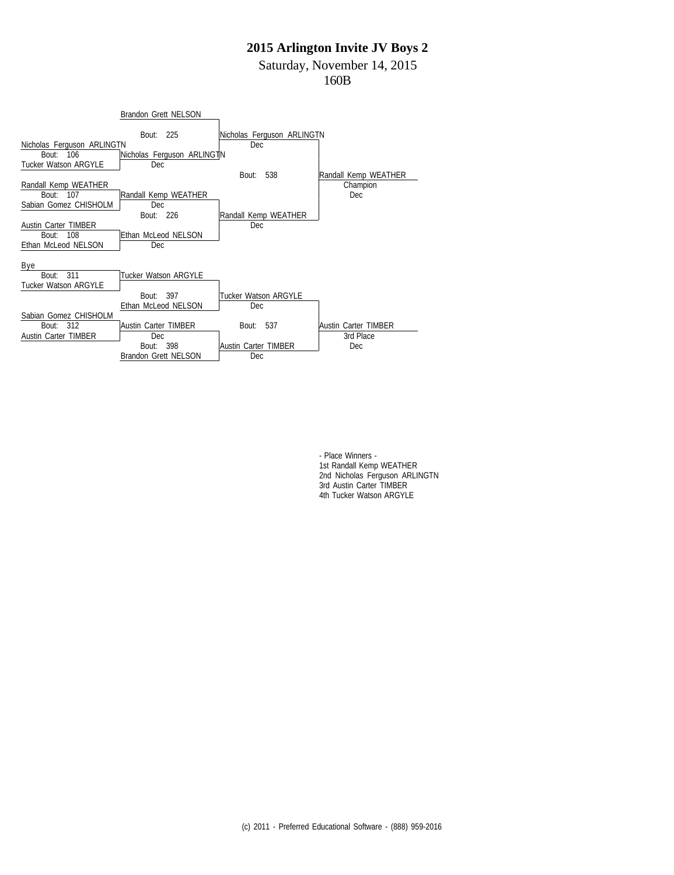Saturday, November 14, 2015

#### 160B



- Place Winners - 1st Randall Kemp WEATHER 2nd Nicholas Ferguson ARLINGTN 3rd Austin Carter TIMBER 4th Tucker Watson ARGYLE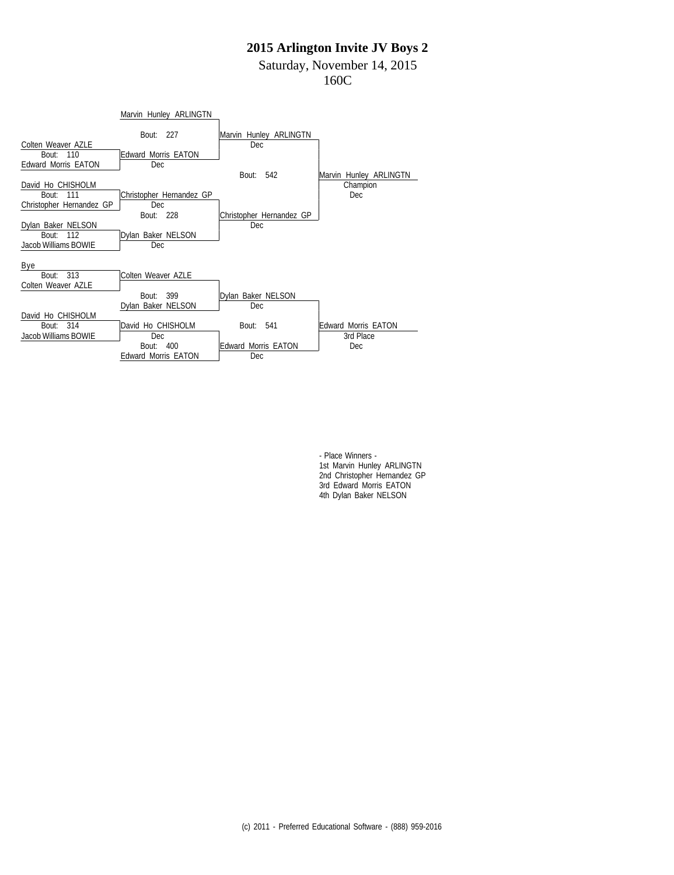Saturday, November 14, 2015

#### 160C



- Place Winners - 1st Marvin Hunley ARLINGTN 2nd Christopher Hernandez GP 3rd Edward Morris EATON 4th Dylan Baker NELSON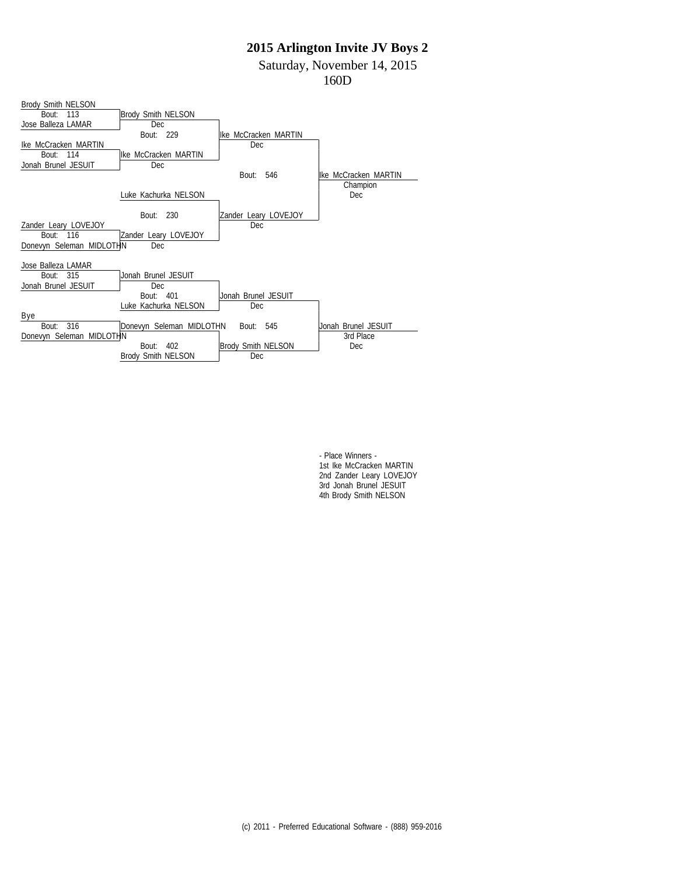Saturday, November 14, 2015

160D

| <b>Brody Smith NELSON</b> |                           |                           |                      |
|---------------------------|---------------------------|---------------------------|----------------------|
| 113<br>Bout:              | <b>Brody Smith NELSON</b> |                           |                      |
| Jose Balleza LAMAR        | <b>Dec</b>                |                           |                      |
|                           | Bout: 229                 | Ike McCracken MARTIN      |                      |
| Ike McCracken MARTIN      |                           | Dec                       |                      |
| 114<br>Bout:              | like McCracken MARTIN     |                           |                      |
| Jonah Brunel JESUIT       | Dec                       |                           |                      |
|                           |                           | 546<br>Bout:              | lke McCracken MARTIN |
|                           |                           |                           | Champion             |
|                           | Luke Kachurka NELSON      |                           | Dec                  |
|                           |                           |                           |                      |
|                           | Bout: 230                 | Zander Leary LOVEJOY      |                      |
| Zander Leary LOVEJOY      |                           | Dec                       |                      |
| 116<br>Bout:              | Zander Leary LOVEJOY      |                           |                      |
| Donevyn Seleman MIDLOTHN  | <b>Dec</b>                |                           |                      |
| Jose Balleza LAMAR        |                           |                           |                      |
| 315<br>Bout:              | Jonah Brunel JESUIT       |                           |                      |
| Jonah Brunel JESUIT       | Dec                       |                           |                      |
|                           | Bout: 401                 | Jonah Brunel JESUIT       |                      |
|                           | Luke Kachurka NELSON      | Dec                       |                      |
| Bye                       |                           |                           |                      |
| 316<br>Bout:              | Donevyn Seleman MIDLOTHN  | Bout: 545                 | Jonah Brunel JESUIT  |
| Donevyn Seleman MIDLOTHN  |                           |                           | 3rd Place            |
|                           | 402<br>Bout:              | <b>Brody Smith NELSON</b> | Dec                  |
|                           | <b>Brody Smith NELSON</b> | Dec                       |                      |

- Place Winners - 1st Ike McCracken MARTIN 2nd Zander Leary LOVEJOY 3rd Jonah Brunel JESUIT 4th Brody Smith NELSON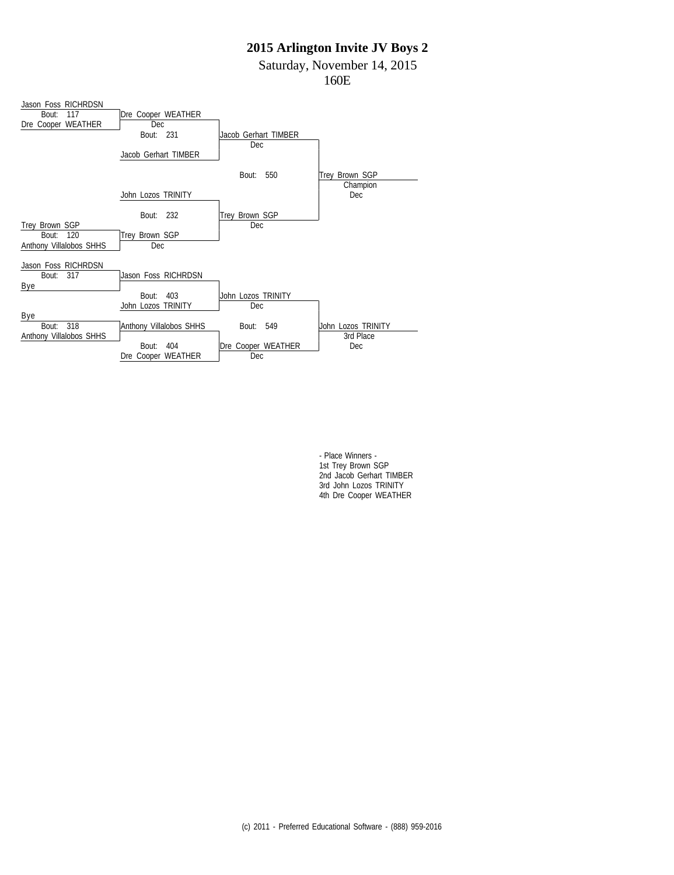Saturday, November 14, 2015

160E



- Place Winners - 1st Trey Brown SGP 2nd Jacob Gerhart TIMBER 3rd John Lozos TRINITY 4th Dre Cooper WEATHER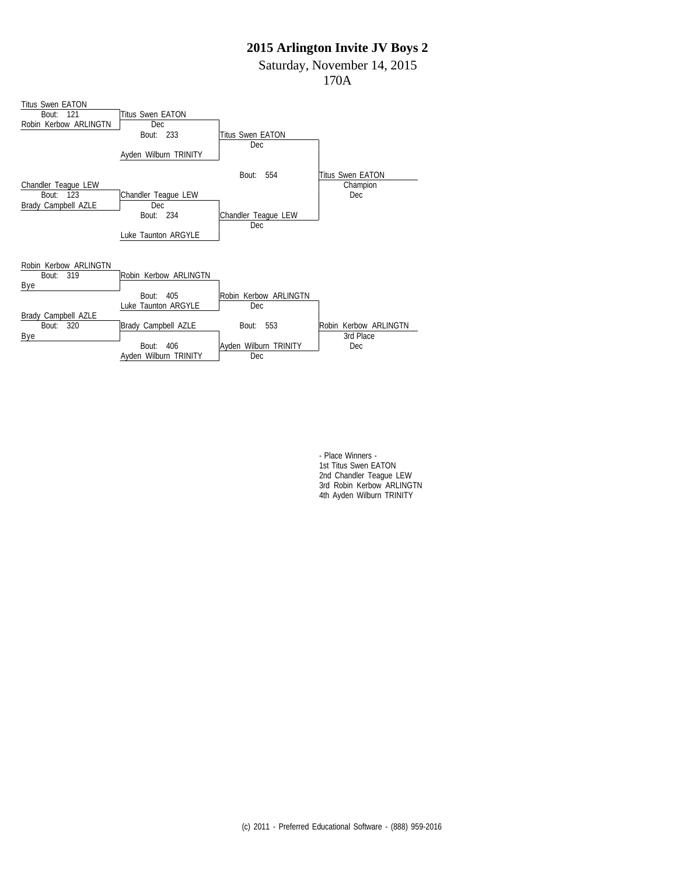Saturday, November 14, 2015

```
170A
```


- Place Winners - 1st Titus Swen EATON 2nd Chandler Teague LEW 3rd Robin Kerbow ARLINGTN 4th Ayden Wilburn TRINITY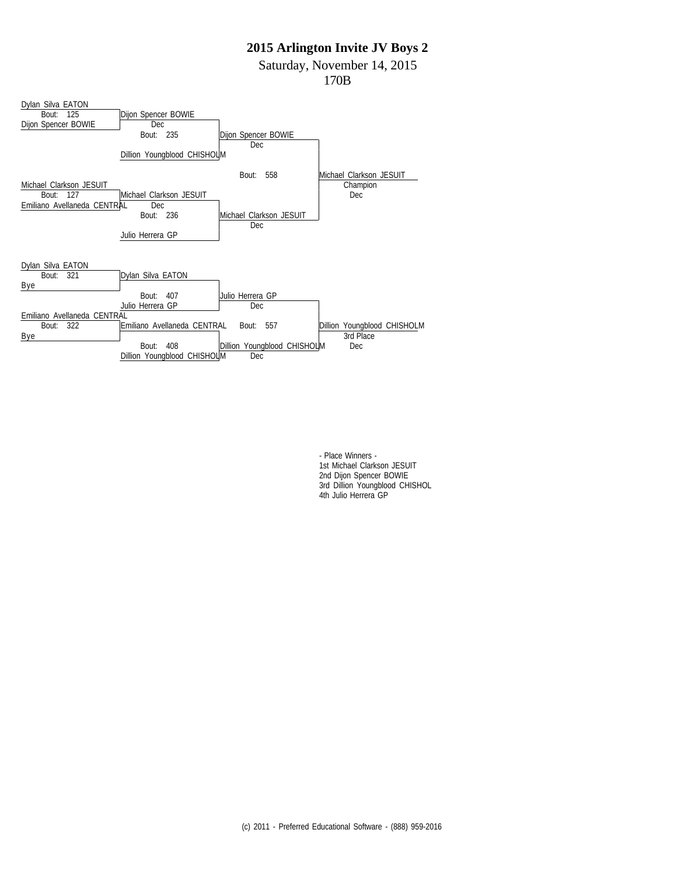Saturday, November 14, 2015

170B



- Place Winners - 1st Michael Clarkson JESUIT 2nd Dijon Spencer BOWIE 3rd Dillion Youngblood CHISHOL 4th Julio Herrera GP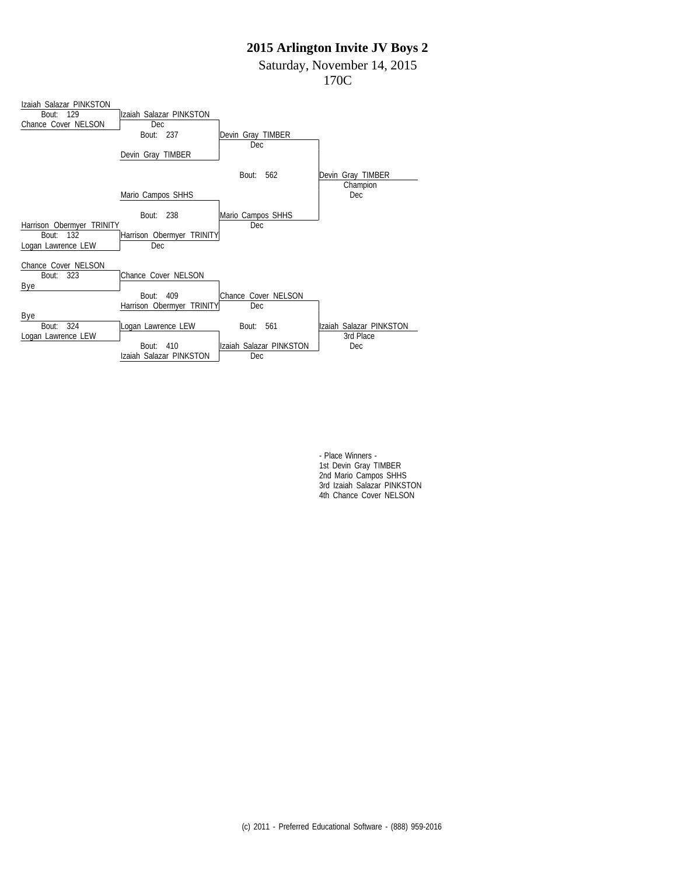Saturday, November 14, 2015

170C



- Place Winners - 1st Devin Gray TIMBER 2nd Mario Campos SHHS 3rd Izaiah Salazar PINKSTON 4th Chance Cover NELSON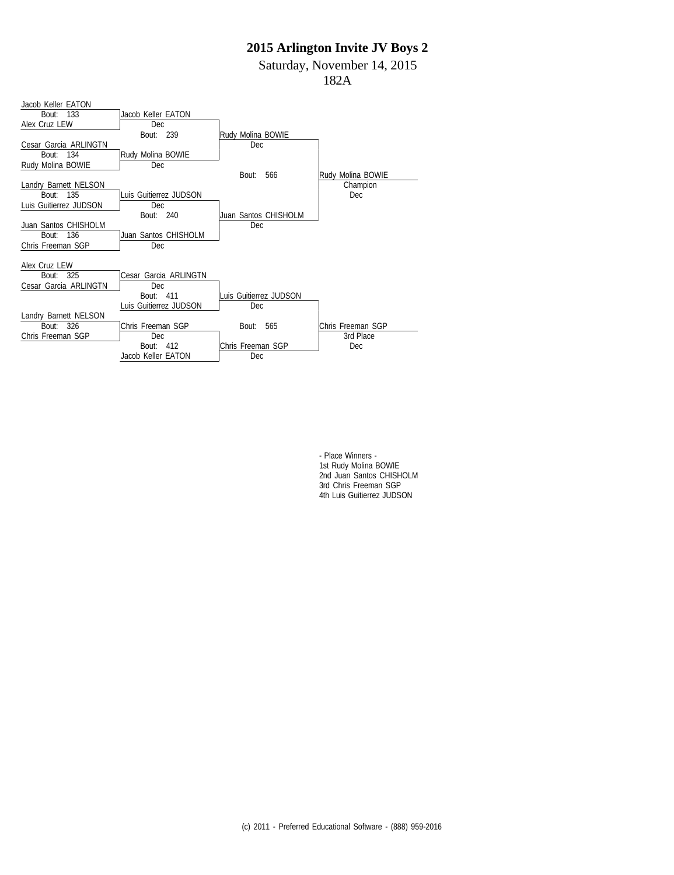Saturday, November 14, 2015

182A

| Jacob Keller EATON     |                        |                        |                   |
|------------------------|------------------------|------------------------|-------------------|
| 133<br>Bout:           | Jacob Keller EATON     |                        |                   |
| Alex Cruz LEW          | Dec                    |                        |                   |
|                        | Bout: 239              | Rudy Molina BOWIE      |                   |
| Cesar Garcia ARLINGTN  |                        | Dec                    |                   |
| - 134<br>Bout:         | Rudy Molina BOWIE      |                        |                   |
| Rudy Molina BOWIE      | Dec                    |                        |                   |
|                        |                        | 566<br>Bout:           | Rudy Molina BOWIE |
| Landry Barnett NELSON  |                        |                        | Champion          |
| Bout: 135              | Luis Guitierrez JUDSON |                        | Dec.              |
| Luis Guitierrez JUDSON | Dec                    |                        |                   |
|                        | Bout: 240              | Juan Santos CHISHOLM   |                   |
| Juan Santos CHISHOLM   |                        | Dec                    |                   |
| Bout: 136              | Juan Santos CHISHOLM   |                        |                   |
| Chris Freeman SGP      | Dec                    |                        |                   |
|                        |                        |                        |                   |
| Alex Cruz LEW          |                        |                        |                   |
| 325<br>Bout:           | Cesar Garcia ARLINGTN  |                        |                   |
| Cesar Garcia ARLINGTN  | Dec                    |                        |                   |
|                        | Bout: 411              | Luis Guitierrez JUDSON |                   |
|                        | Luis Guitierrez JUDSON | Dec                    |                   |
| Landry Barnett NELSON  |                        |                        |                   |
| Bout: 326              | Chris Freeman SGP      | Bout: 565              | Chris Freeman SGP |
| Chris Freeman SGP      | Dec                    |                        | 3rd Place         |
|                        | Bout: 412              | Chris Freeman SGP      | Dec               |
|                        | Jacob Keller EATON     | Dec                    |                   |

- Place Winners - 1st Rudy Molina BOWIE 2nd Juan Santos CHISHOLM 3rd Chris Freeman SGP 4th Luis Guitierrez JUDSON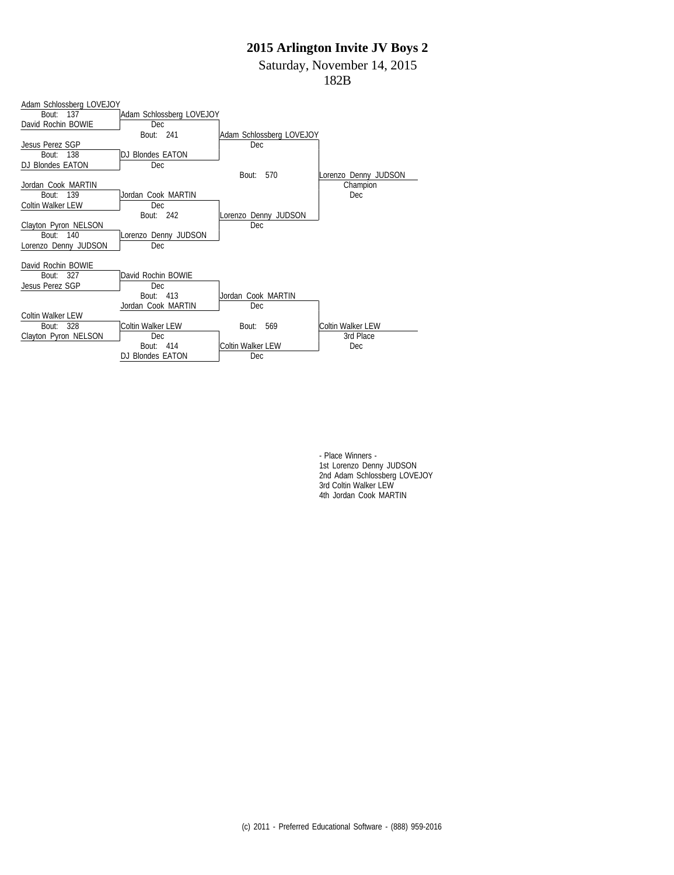Saturday, November 14, 2015

182B

| Adam Schlossberg LOVEJOY |                          |                          |                      |
|--------------------------|--------------------------|--------------------------|----------------------|
| Bout: 137                | Adam Schlossberg LOVEJOY |                          |                      |
| David Rochin BOWIE       | Dec.                     |                          |                      |
|                          | Bout: 241                | Adam Schlossberg LOVEJOY |                      |
| Jesus Perez SGP          |                          | Dec.                     |                      |
| Bout: 138                | DJ Blondes EATON         |                          |                      |
| DJ Blondes EATON         | Dec                      |                          |                      |
|                          |                          | 570<br>Bout:             | Lorenzo Denny JUDSON |
| Jordan Cook MARTIN       |                          |                          | Champion             |
| Bout: 139                | Jordan Cook MARTIN       |                          | Dec.                 |
| <b>Coltin Walker LEW</b> | <b>Dec</b>               |                          |                      |
|                          | Bout: 242                | Lorenzo Denny JUDSON     |                      |
| Clayton Pyron NELSON     |                          | Dec                      |                      |
| Bout: 140                | Lorenzo Denny JUDSON     |                          |                      |
| Lorenzo Denny JUDSON     | Dec                      |                          |                      |
|                          |                          |                          |                      |
| David Rochin BOWIE       |                          |                          |                      |
| Bout: 327                | David Rochin BOWIE       |                          |                      |
| Jesus Perez SGP          | Dec                      |                          |                      |
|                          | Bout: 413                | Jordan Cook MARTIN       |                      |
|                          | Jordan Cook MARTIN       | Dec                      |                      |
| <b>Coltin Walker LEW</b> |                          |                          |                      |
| Bout: 328                | Coltin Walker LEW        | Bout: 569                | Coltin Walker LEW    |
| Clayton Pyron NELSON     | Dec                      |                          | 3rd Place            |
|                          | Bout: 414                | Coltin Walker LEW        | Dec                  |
|                          | DJ Blondes EATON         | <b>Dec</b>               |                      |

- Place Winners - 1st Lorenzo Denny JUDSON 2nd Adam Schlossberg LOVEJOY 3rd Coltin Walker LEW 4th Jordan Cook MARTIN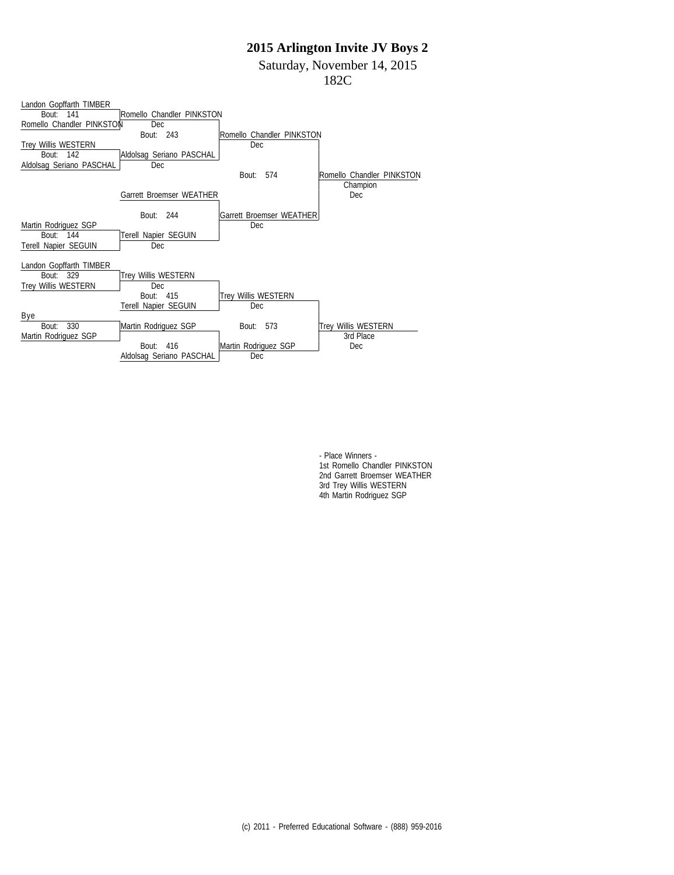Saturday, November 14, 2015

182C

| Landon Gopffarth TIMBER<br>Bout: 141 | Romello Chandler PINKSTON       |                           |                            |
|--------------------------------------|---------------------------------|---------------------------|----------------------------|
| Romello Chandler PINKSTON            | Dec                             |                           |                            |
|                                      | Bout: 243                       | Romello Chandler PINKSTON |                            |
| <b>Trey Willis WESTERN</b>           |                                 | Dec                       |                            |
| Bout: 142                            | Aldolsag Seriano PASCHAL        |                           |                            |
| Aldolsag Seriano PASCHAL             | Dec                             |                           |                            |
|                                      |                                 | 574<br>Bout:              | Romello Chandler PINKSTON  |
|                                      |                                 |                           | Champion                   |
|                                      | <b>Garrett Broemser WEATHER</b> |                           | Dec.                       |
|                                      |                                 |                           |                            |
|                                      | Bout: 244                       | Garrett Broemser WEATHER  |                            |
| Martin Rodriguez SGP                 |                                 | Dec                       |                            |
| Bout: 144                            | Terell Napier SEGUIN            |                           |                            |
| <b>Terell Napier SEGUIN</b>          | Dec                             |                           |                            |
|                                      |                                 |                           |                            |
| Landon Gopffarth TIMBER<br>Bout: 329 | <b>Trey Willis WESTERN</b>      |                           |                            |
| Trey Willis WESTERN                  | Dec                             |                           |                            |
|                                      | Bout: 415                       | Trey Willis WESTERN       |                            |
|                                      | Terell Napier SEGUIN            | Dec                       |                            |
| Bye                                  |                                 |                           |                            |
| 330<br>Bout:                         | Martin Rodriguez SGP            | 573<br>Bout:              | <b>Trey Willis WESTERN</b> |
| Martin Rodriguez SGP                 |                                 |                           | 3rd Place                  |
|                                      | Bout: 416                       | Martin Rodriguez SGP      | Dec.                       |
|                                      | Aldolsag Seriano PASCHAL        | Dec                       |                            |

- Place Winners - 1st Romello Chandler PINKSTON 2nd Garrett Broemser WEATHER 3rd Trey Willis WESTERN 4th Martin Rodriguez SGP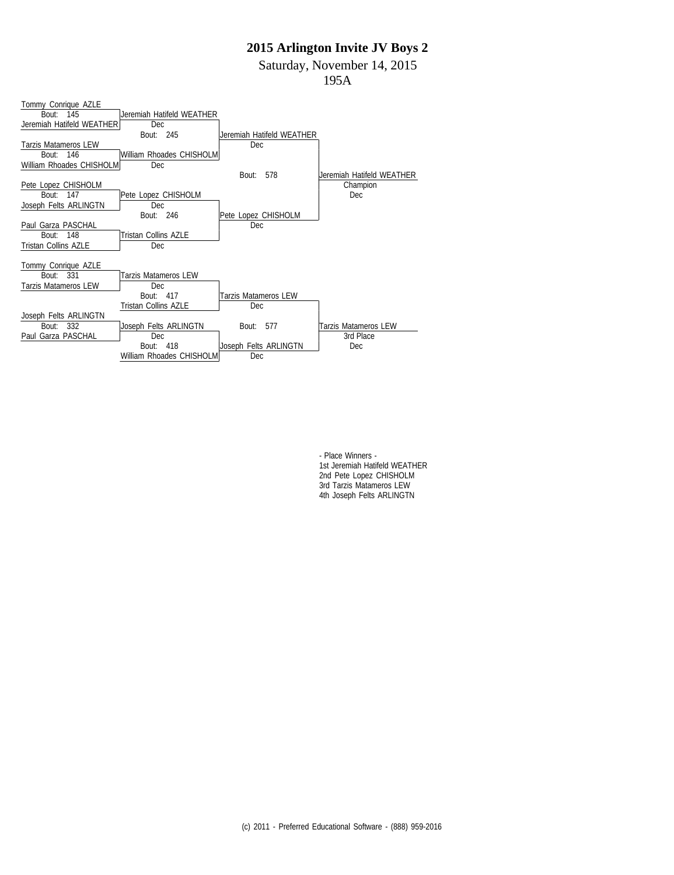Saturday, November 14, 2015

195A

| Tommy Conrique AZLE         |                             |                           |                           |
|-----------------------------|-----------------------------|---------------------------|---------------------------|
| Bout: 145                   | Jeremiah Hatifeld WEATHER   |                           |                           |
| Jeremiah Hatifeld WEATHER   | <b>Dec</b>                  |                           |                           |
|                             | Bout: 245                   | Jeremiah Hatifeld WEATHER |                           |
| Tarzis Matameros LEW        |                             | Dec                       |                           |
| Bout: 146                   | William Rhoades CHISHOLM    |                           |                           |
| William Rhoades CHISHOLM    | Dec                         |                           |                           |
|                             |                             | 578<br>Bout:              | Jeremiah Hatifeld WEATHER |
| Pete Lopez CHISHOLM         |                             |                           | Champion                  |
| 147<br>Bout:                | Pete Lopez CHISHOLM         |                           | <b>Dec</b>                |
| Joseph Felts ARLINGTN       | Dec                         |                           |                           |
|                             | Bout: 246                   | Pete Lopez CHISHOLM       |                           |
| Paul Garza PASCHAL          |                             | Dec                       |                           |
| 148<br>Bout:                | <b>Tristan Collins AZLE</b> |                           |                           |
| Tristan Collins AZLE        | Dec                         |                           |                           |
|                             |                             |                           |                           |
| Tommy Conrique AZLE         |                             |                           |                           |
| Bout: 331                   | Tarzis Matameros LEW        |                           |                           |
| <b>Tarzis Matameros LEW</b> | Dec                         |                           |                           |
|                             | Bout: 417                   | Tarzis Matameros LEW      |                           |
|                             | <b>Tristan Collins AZLE</b> | Dec                       |                           |
| Joseph Felts ARLINGTN       |                             |                           |                           |
| 332<br>Bout:                | Joseph Felts ARLINGTN       | 577<br>Bout:              | Tarzis Matameros LEW      |
| Paul Garza PASCHAL          | Dec                         |                           | 3rd Place                 |
|                             | Bout:<br>418                | Joseph Felts ARLINGTN     | Dec                       |
|                             | William Rhoades CHISHOLM    | Dec                       |                           |

- Place Winners - 1st Jeremiah Hatifeld WEATHER 2nd Pete Lopez CHISHOLM 3rd Tarzis Matameros LEW 4th Joseph Felts ARLINGTN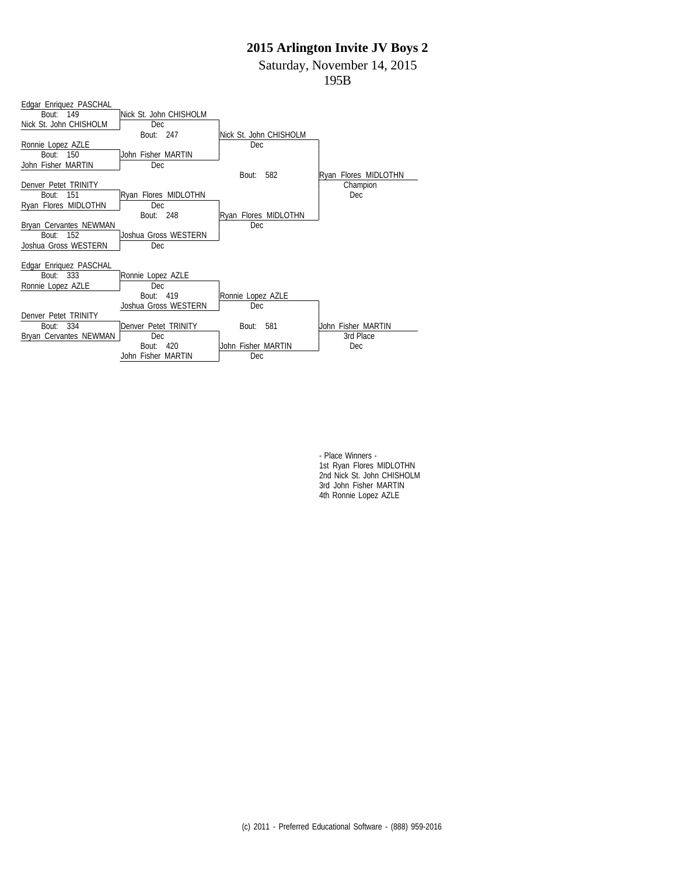Saturday, November 14, 2015

195B

| Edgar Enriquez PASCHAL |                         |                        |                      |
|------------------------|-------------------------|------------------------|----------------------|
| Bout: 149              | INick St. John CHISHOLM |                        |                      |
| Nick St. John CHISHOLM | Dec                     |                        |                      |
|                        | Bout: 247               | Nick St. John CHISHOLM |                      |
| Ronnie Lopez AZLE      |                         | Dec                    |                      |
| Bout: 150              | John Fisher MARTIN      |                        |                      |
| John Fisher MARTIN     | Dec                     |                        |                      |
|                        |                         | 582<br>Bout:           | Ryan Flores MIDLOTHN |
| Denver Petet TRINITY   |                         |                        | Champion             |
| 151<br>Bout:           | Ryan Flores MIDLOTHN    |                        | Dec.                 |
| Ryan Flores MIDLOTHN   | Dec                     |                        |                      |
|                        | Bout: 248               | Ryan Flores MIDLOTHN   |                      |
| Bryan Cervantes NEWMAN |                         | Dec                    |                      |
| Bout: 152              | Joshua Gross WESTERN    |                        |                      |
| Joshua Gross WESTERN   | Dec                     |                        |                      |
|                        |                         |                        |                      |
| Edgar Enriquez PASCHAL |                         |                        |                      |
| Bout: 333              | Ronnie Lopez AZLE       |                        |                      |
| Ronnie Lopez AZLE      | Dec                     |                        |                      |
|                        | Bout: 419               | Ronnie Lopez AZLE      |                      |
|                        | Joshua Gross WESTERN    | Dec                    |                      |
| Denver Petet TRINITY   |                         |                        |                      |
| 334<br>Bout:           | Denver Petet TRINITY    | 581<br>Bout:           | Uohn Fisher MARTIN   |
| Bryan Cervantes NEWMAN | Dec                     |                        | 3rd Place            |
|                        | Bout: 420               | John Fisher MARTIN     | Dec                  |
|                        | John Fisher MARTIN      | Dec                    |                      |

- Place Winners - 1st Ryan Flores MIDLOTHN 2nd Nick St. John CHISHOLM 3rd John Fisher MARTIN 4th Ronnie Lopez AZLE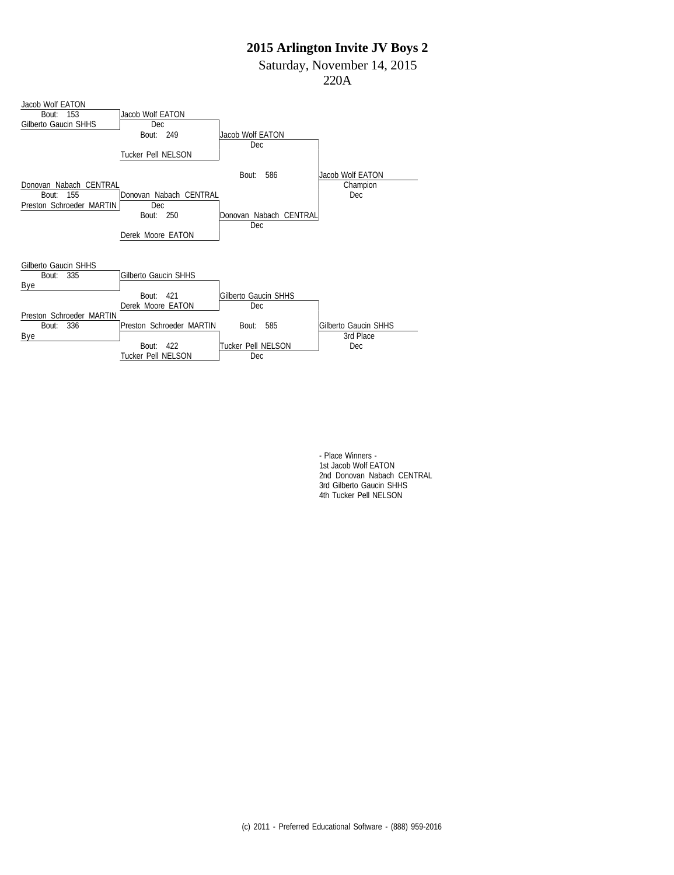Saturday, November 14, 2015

220A



- Place Winners - 1st Jacob Wolf EATON 2nd Donovan Nabach CENTRAL 3rd Gilberto Gaucin SHHS 4th Tucker Pell NELSON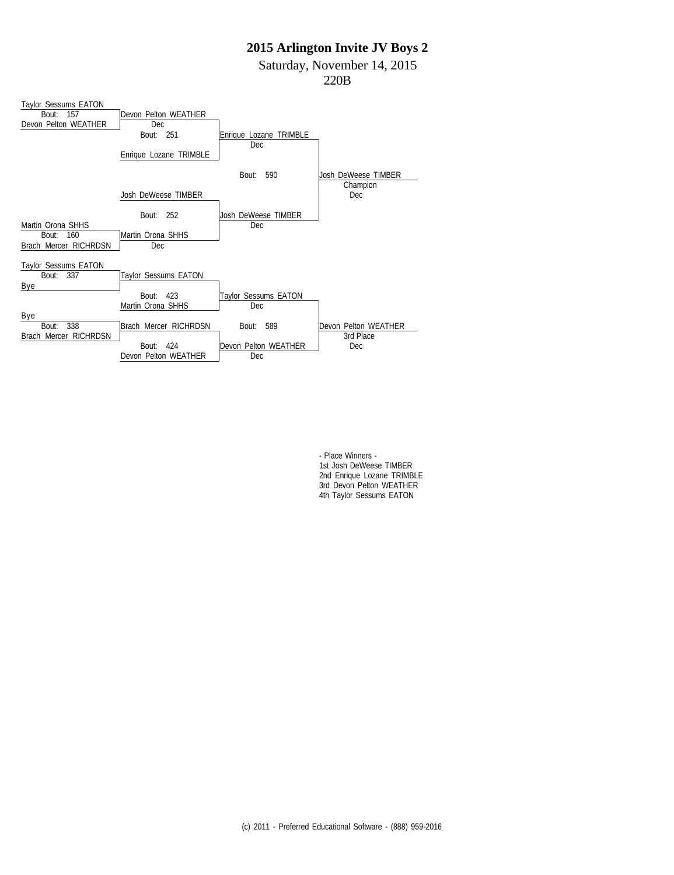Saturday, November 14, 2015

220B



- Place Winners - 1st Josh DeWeese TIMBER 2nd Enrique Lozane TRIMBLE 3rd Devon Pelton WEATHER 4th Taylor Sessums EATON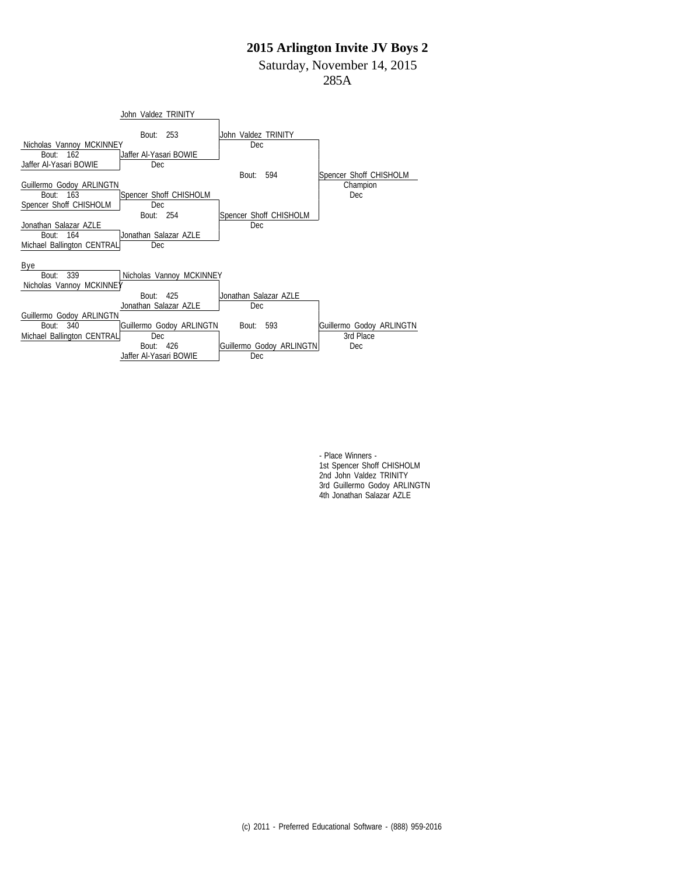Saturday, November 14, 2015

```
285A
```


- Place Winners - 1st Spencer Shoff CHISHOLM 2nd John Valdez TRINITY 3rd Guillermo Godoy ARLINGTN 4th Jonathan Salazar AZLE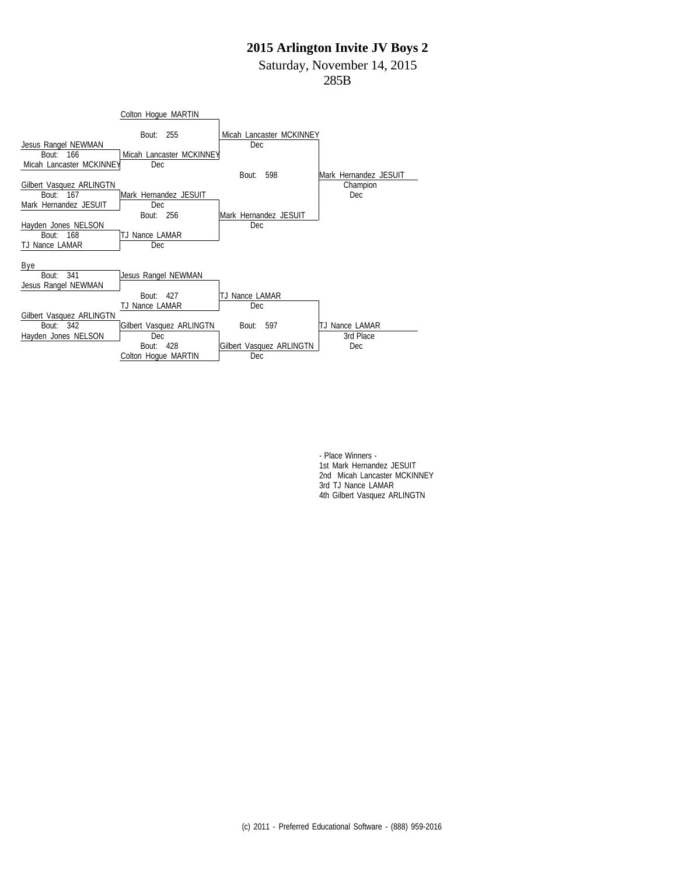Saturday, November 14, 2015

285B



- Place Winners - 1st Mark Hernandez JESUIT 2nd Micah Lancaster MCKINNEY 3rd TJ Nance LAMAR 4th Gilbert Vasquez ARLINGTN